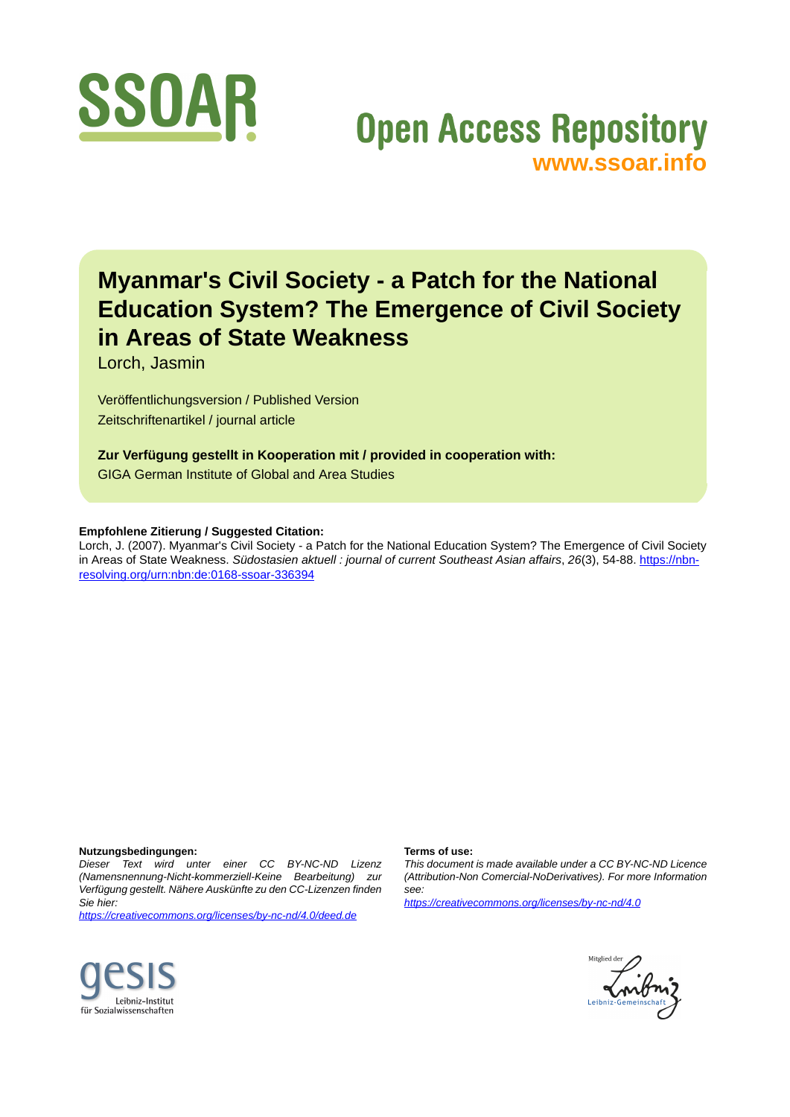

# **Open Access Repository [www.ssoar.info](http://www.ssoar.info)**

# **Myanmar's Civil Society - a Patch for the National Education System? The Emergence of Civil Society in Areas of State Weakness**

Lorch, Jasmin

Veröffentlichungsversion / Published Version Zeitschriftenartikel / journal article

**Zur Verfügung gestellt in Kooperation mit / provided in cooperation with:**

GIGA German Institute of Global and Area Studies

#### **Empfohlene Zitierung / Suggested Citation:**

Lorch, J. (2007). Myanmar's Civil Society - a Patch for the National Education System? The Emergence of Civil Society in Areas of State Weakness. *Südostasien aktuell : journal of current Southeast Asian affairs*, *26*(3), 54-88. [https://nbn](https://nbn-resolving.org/urn:nbn:de:0168-ssoar-336394)[resolving.org/urn:nbn:de:0168-ssoar-336394](https://nbn-resolving.org/urn:nbn:de:0168-ssoar-336394)

#### **Nutzungsbedingungen:**

*Dieser Text wird unter einer CC BY-NC-ND Lizenz (Namensnennung-Nicht-kommerziell-Keine Bearbeitung) zur Verfügung gestellt. Nähere Auskünfte zu den CC-Lizenzen finden Sie hier:*

*<https://creativecommons.org/licenses/by-nc-nd/4.0/deed.de>*

#### **Terms of use:**

*This document is made available under a CC BY-NC-ND Licence (Attribution-Non Comercial-NoDerivatives). For more Information see:*

*<https://creativecommons.org/licenses/by-nc-nd/4.0>*



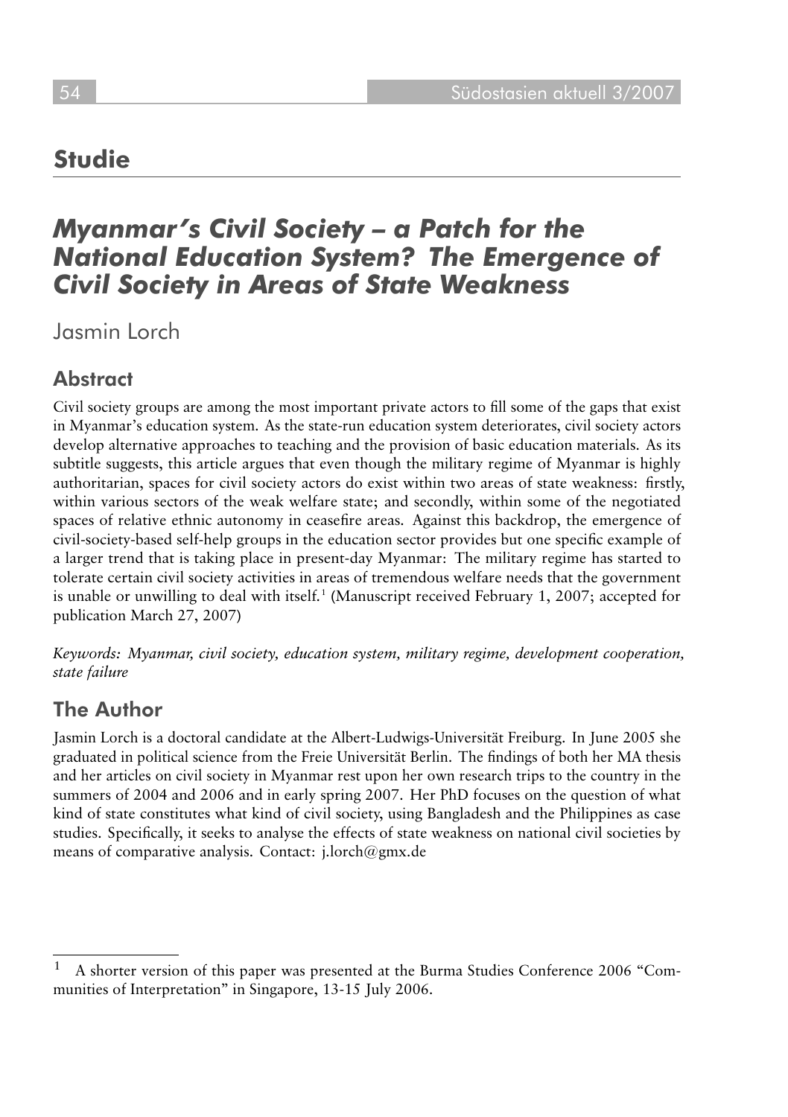# **Studie**

# *Myanmar's Civil Society – a Patch for the National Education System? The Emergence of Civil Society in Areas of State Weakness*

Jasmin Lorch

# **Abstract**

Civil society groups are among the most important private actors to fill some of the gaps that exist in Myanmar's education system. As the state-run education system deteriorates, civil society actors develop alternative approaches to teaching and the provision of basic education materials. As its subtitle suggests, this article argues that even though the military regime of Myanmar is highly authoritarian, spaces for civil society actors do exist within two areas of state weakness: firstly, within various sectors of the weak welfare state; and secondly, within some of the negotiated spaces of relative ethnic autonomy in ceasefire areas. Against this backdrop, the emergence of civil-society-based self-help groups in the education sector provides but one specific example of a larger trend that is taking place in present-day Myanmar: The military regime has started to tolerate certain civil society activities in areas of tremendous welfare needs that the government is unable or unwilling to deal with itself.<sup>1</sup> (Manuscript received February 1, 2007; accepted for publication March 27, 2007)

Keywords: Myanmar, civil society, education system, military regime, development cooperation, *state failure*

## The Author

Jasmin Lorch is a doctoral candidate at the Albert-Ludwigs-Universität Freiburg. In June 2005 she graduated in political science from the Freie Universität Berlin. The findings of both her MA thesis and her articles on civil society in Myanmar rest upon her own research trips to the country in the summers of 2004 and 2006 and in early spring 2007. Her PhD focuses on the question of what kind of state constitutes what kind of civil society, using Bangladesh and the Philippines as case studies. Specifically, it seeks to analyse the effects of state weakness on national civil societies by means of comparative analysis. Contact: j.lorch@gmx.de

<sup>1</sup> A shorter version of this paper was presented at the Burma Studies Conference 2006 "Communities of Interpretation" in Singapore, 13-15 July 2006.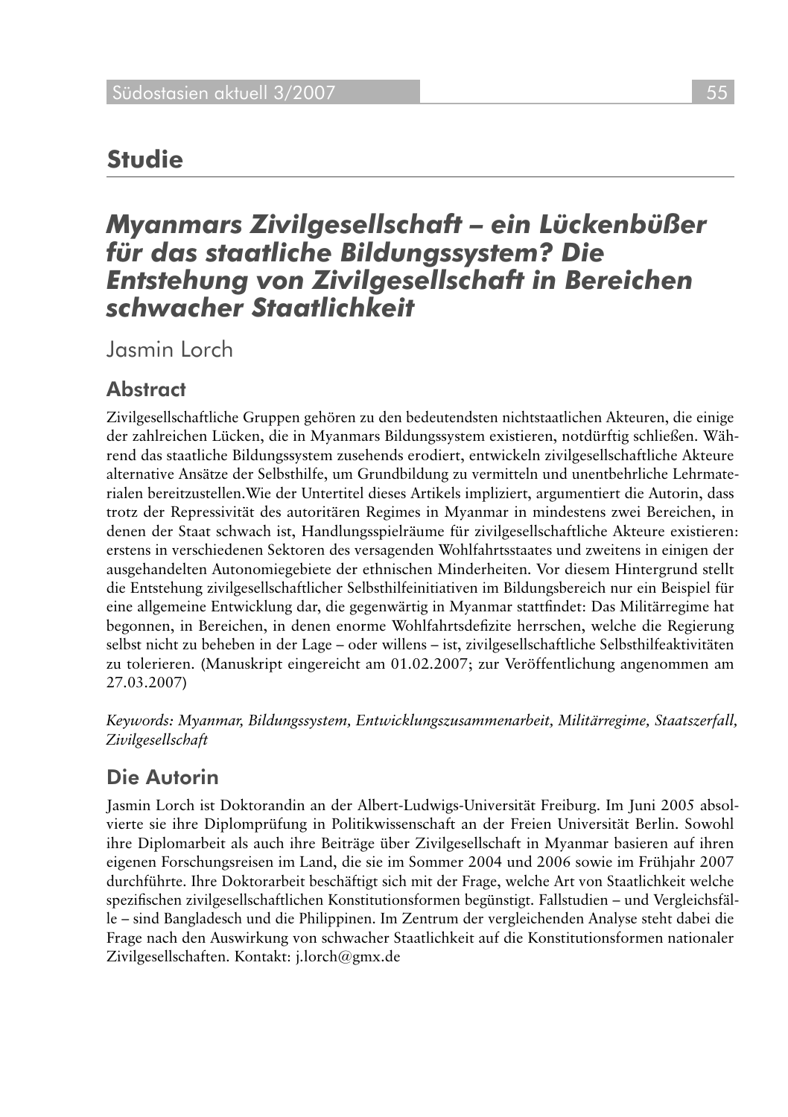# **Studie**

# *Myanmars Zivilgesellschaft – ein Lückenbüßer für das staatliche Bildungssystem? Die Entstehung von Zivilgesellschaft in Bereichen schwacher Staatlichkeit*

Jasmin Lorch

## **Abstract**

Zivilgesellschaftliche Gruppen gehören zu den bedeutendsten nichtstaatlichen Akteuren, die einige der zahlreichen Lücken, die in Myanmars Bildungssystem existieren, notdürftig schließen. Während das staatliche Bildungssystem zusehends erodiert, entwickeln zivilgesellschaftliche Akteure alternative Ansätze der Selbsthilfe, um Grundbildung zu vermitteln und unentbehrliche Lehrmaterialen bereitzustellen.Wie der Untertitel dieses Artikels impliziert, argumentiert die Autorin, dass trotz der Repressivität des autoritären Regimes in Myanmar in mindestens zwei Bereichen, in denen der Staat schwach ist, Handlungsspielräume für zivilgesellschaftliche Akteure existieren: erstens in verschiedenen Sektoren des versagenden Wohlfahrtsstaates und zweitens in einigen der ausgehandelten Autonomiegebiete der ethnischen Minderheiten. Vor diesem Hintergrund stellt die Entstehung zivilgesellschaftlicher Selbsthilfeinitiativen im Bildungsbereich nur ein Beispiel für eine allgemeine Entwicklung dar, die gegenwärtig in Myanmar stattfindet: Das Militärregime hat begonnen, in Bereichen, in denen enorme Wohlfahrtsdefizite herrschen, welche die Regierung selbst nicht zu beheben in der Lage – oder willens – ist, zivilgesellschaftliche Selbsthilfeaktivitäten zu tolerieren. (Manuskript eingereicht am 01.02.2007; zur Veröffentlichung angenommen am 27.03.2007)

Keywords: Myanmar, Bildungssystem, Entwicklungszusammenarbeit, Militärregime, Staatszerfall, *Zivilgesellschaft*

## Die Autorin

Jasmin Lorch ist Doktorandin an der Albert-Ludwigs-Universität Freiburg. Im Juni 2005 absolvierte sie ihre Diplomprüfung in Politikwissenschaft an der Freien Universität Berlin. Sowohl ihre Diplomarbeit als auch ihre Beiträge über Zivilgesellschaft in Myanmar basieren auf ihren eigenen Forschungsreisen im Land, die sie im Sommer 2004 und 2006 sowie im Frühjahr 2007 durchführte. Ihre Doktorarbeit beschäftigt sich mit der Frage, welche Art von Staatlichkeit welche spezifischen zivilgesellschaftlichen Konstitutionsformen begünstigt. Fallstudien – und Vergleichsfälle – sind Bangladesch und die Philippinen. Im Zentrum der vergleichenden Analyse steht dabei die Frage nach den Auswirkung von schwacher Staatlichkeit auf die Konstitutionsformen nationaler Zivilgesellschaften. Kontakt: j.lorch@gmx.de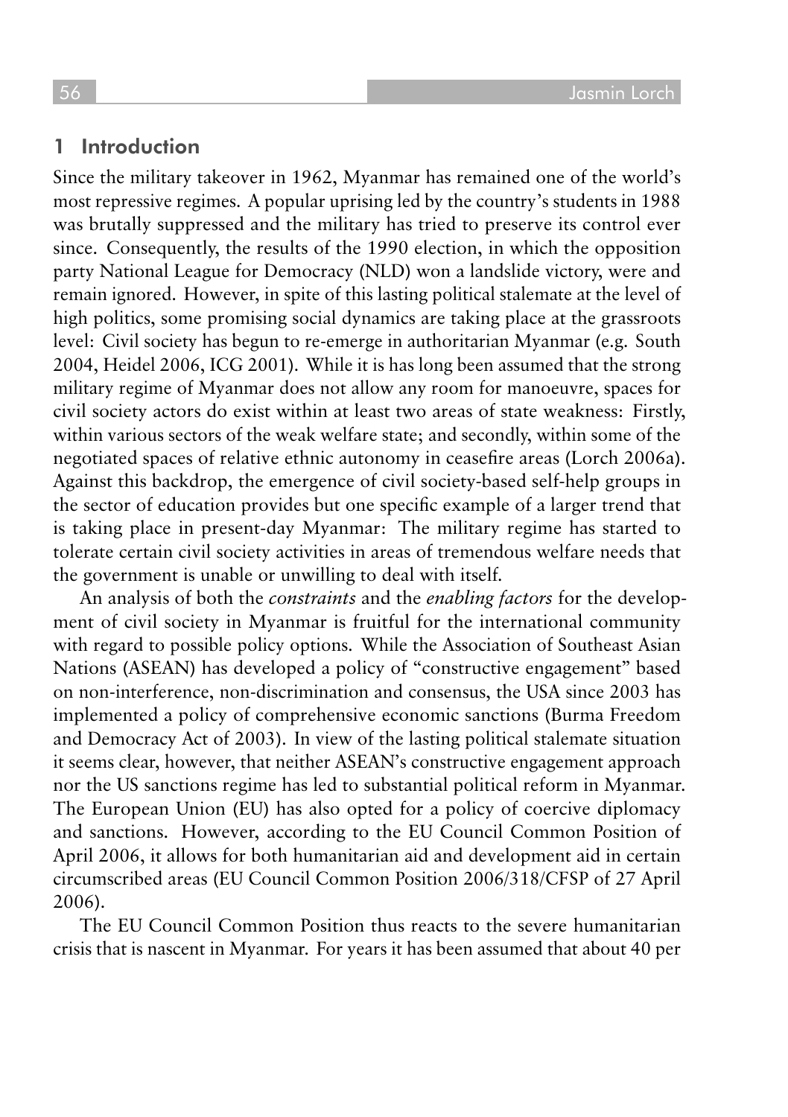#### 1 Introduction

Since the military takeover in 1962, Myanmar has remained one of the world's most repressive regimes. A popular uprising led by the country's students in 1988 was brutally suppressed and the military has tried to preserve its control ever since. Consequently, the results of the 1990 election, in which the opposition party National League for Democracy (NLD) won a landslide victory, were and remain ignored. However, in spite of this lasting political stalemate at the level of high politics, some promising social dynamics are taking place at the grassroots level: Civil society has begun to re-emerge in authoritarian Myanmar (e.g. South 2004, Heidel 2006, ICG 2001). While it is has long been assumed that the strong military regime of Myanmar does not allow any room for manoeuvre, spaces for civil society actors do exist within at least two areas of state weakness: Firstly, within various sectors of the weak welfare state; and secondly, within some of the negotiated spaces of relative ethnic autonomy in ceasefire areas (Lorch 2006a). Against this backdrop, the emergence of civil society-based self-help groups in the sector of education provides but one specific example of a larger trend that is taking place in present-day Myanmar: The military regime has started to tolerate certain civil society activities in areas of tremendous welfare needs that the government is unable or unwilling to deal with itself.

An analysis of both the *constraints* and the *enabling factors* for the development of civil society in Myanmar is fruitful for the international community with regard to possible policy options. While the Association of Southeast Asian Nations (ASEAN) has developed a policy of "constructive engagement" based on non-interference, non-discrimination and consensus, the USA since 2003 has implemented a policy of comprehensive economic sanctions (Burma Freedom and Democracy Act of 2003). In view of the lasting political stalemate situation it seems clear, however, that neither ASEAN's constructive engagement approach nor the US sanctions regime has led to substantial political reform in Myanmar. The European Union (EU) has also opted for a policy of coercive diplomacy and sanctions. However, according to the EU Council Common Position of April 2006, it allows for both humanitarian aid and development aid in certain circumscribed areas (EU Council Common Position 2006/318/CFSP of 27 April 2006).

The EU Council Common Position thus reacts to the severe humanitarian crisis that is nascent in Myanmar. For years it has been assumed that about 40 per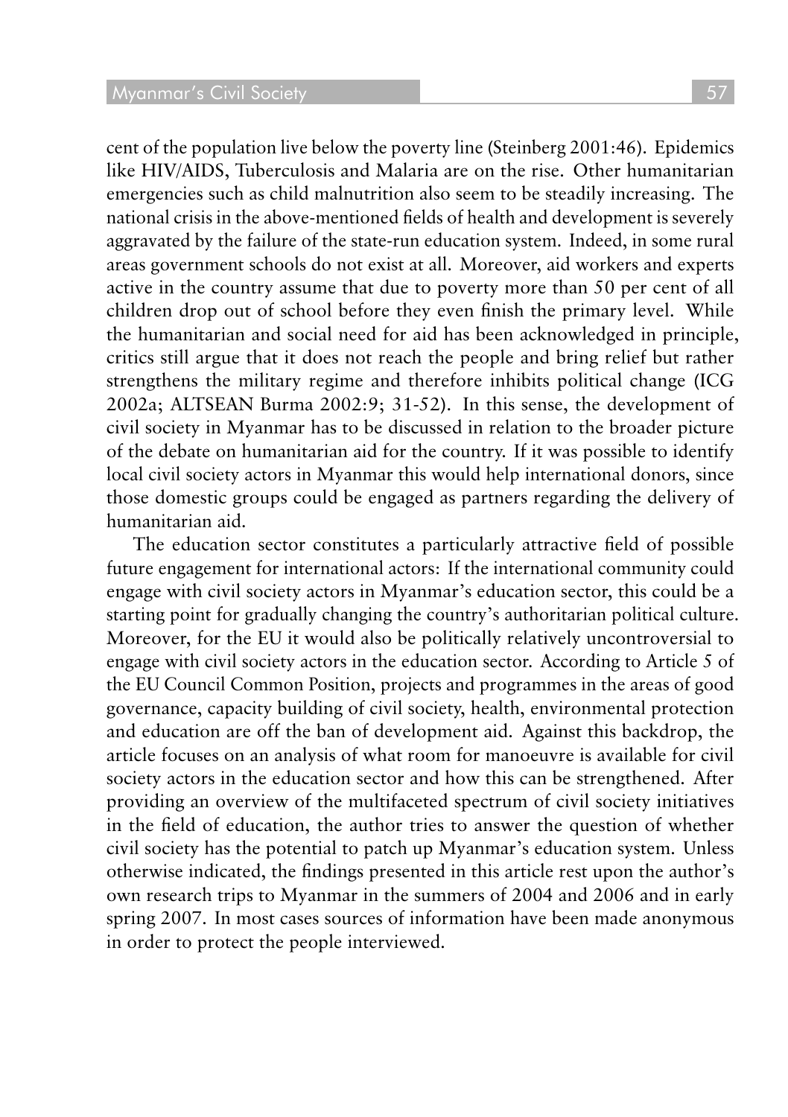cent of the population live below the poverty line (Steinberg 2001:46). Epidemics like HIV/AIDS, Tuberculosis and Malaria are on the rise. Other humanitarian emergencies such as child malnutrition also seem to be steadily increasing. The national crisis in the above-mentioned fields of health and development is severely aggravated by the failure of the state-run education system. Indeed, in some rural areas government schools do not exist at all. Moreover, aid workers and experts active in the country assume that due to poverty more than 50 per cent of all children drop out of school before they even finish the primary level. While the humanitarian and social need for aid has been acknowledged in principle, critics still argue that it does not reach the people and bring relief but rather strengthens the military regime and therefore inhibits political change (ICG 2002a; ALTSEAN Burma 2002:9; 31-52). In this sense, the development of civil society in Myanmar has to be discussed in relation to the broader picture of the debate on humanitarian aid for the country. If it was possible to identify local civil society actors in Myanmar this would help international donors, since those domestic groups could be engaged as partners regarding the delivery of humanitarian aid.

The education sector constitutes a particularly attractive field of possible future engagement for international actors: If the international community could engage with civil society actors in Myanmar's education sector, this could be a starting point for gradually changing the country's authoritarian political culture. Moreover, for the EU it would also be politically relatively uncontroversial to engage with civil society actors in the education sector. According to Article 5 of the EU Council Common Position, projects and programmes in the areas of good governance, capacity building of civil society, health, environmental protection and education are off the ban of development aid. Against this backdrop, the article focuses on an analysis of what room for manoeuvre is available for civil society actors in the education sector and how this can be strengthened. After providing an overview of the multifaceted spectrum of civil society initiatives in the field of education, the author tries to answer the question of whether civil society has the potential to patch up Myanmar's education system. Unless otherwise indicated, the findings presented in this article rest upon the author's own research trips to Myanmar in the summers of 2004 and 2006 and in early spring 2007. In most cases sources of information have been made anonymous in order to protect the people interviewed.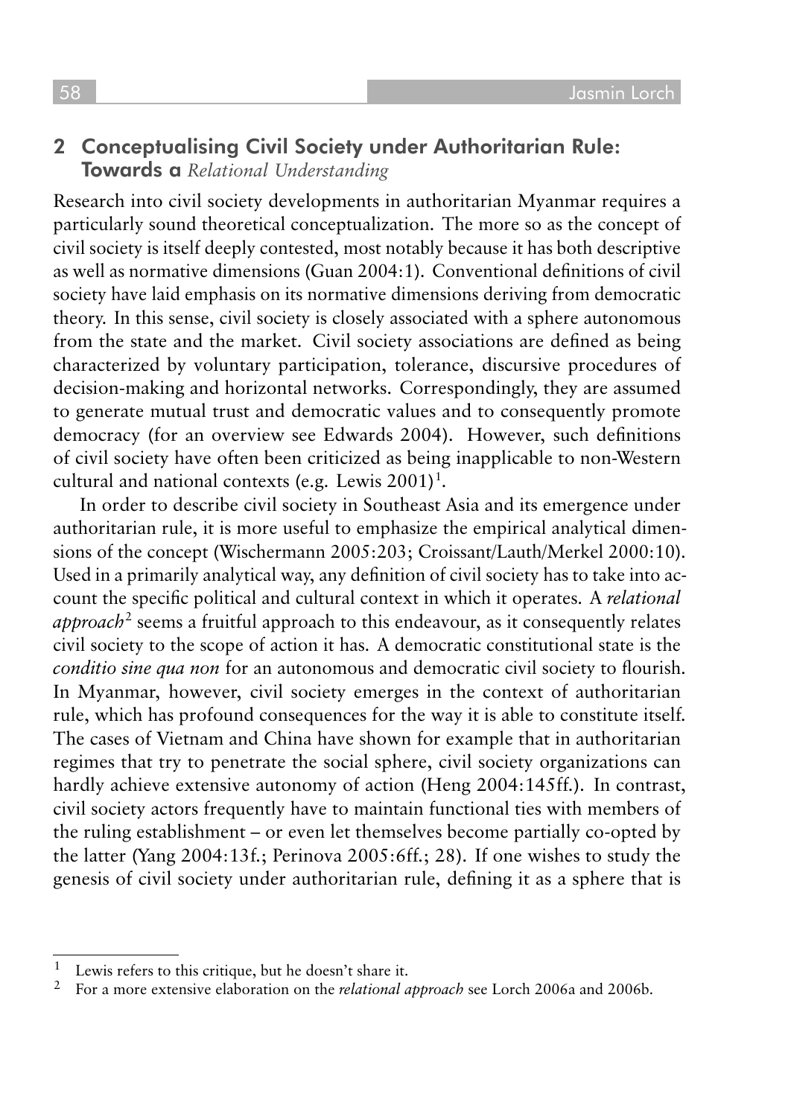### 2 Conceptualising Civil Society under Authoritarian Rule: Towards a *Relational Understanding*

Research into civil society developments in authoritarian Myanmar requires a particularly sound theoretical conceptualization. The more so as the concept of civil society is itself deeply contested, most notably because it has both descriptive as well as normative dimensions (Guan 2004:1). Conventional definitions of civil society have laid emphasis on its normative dimensions deriving from democratic theory. In this sense, civil society is closely associated with a sphere autonomous from the state and the market. Civil society associations are defined as being characterized by voluntary participation, tolerance, discursive procedures of decision-making and horizontal networks. Correspondingly, they are assumed to generate mutual trust and democratic values and to consequently promote democracy (for an overview see Edwards 2004). However, such definitions of civil society have often been criticized as being inapplicable to non-Western cultural and national contexts (e.g. Lewis 2001)<sup>1</sup>.

In order to describe civil society in Southeast Asia and its emergence under authoritarian rule, it is more useful to emphasize the empirical analytical dimensions of the concept (Wischermann 2005:203; Croissant/Lauth/Merkel 2000:10). Used in a primarily analytical way, any definition of civil society has to take into account the specific political and cultural context in which it operates. A *relational approach*<sup>2</sup> seems a fruitful approach to this endeavour, as it consequently relates civil society to the scope of action it has. A democratic constitutional state is the *conditio sine qua non* for an autonomous and democratic civil society to flourish. In Myanmar, however, civil society emerges in the context of authoritarian rule, which has profound consequences for the way it is able to constitute itself. The cases of Vietnam and China have shown for example that in authoritarian regimes that try to penetrate the social sphere, civil society organizations can hardly achieve extensive autonomy of action (Heng 2004:145ff.). In contrast, civil society actors frequently have to maintain functional ties with members of the ruling establishment – or even let themselves become partially co-opted by the latter (Yang 2004:13f.; Perinova 2005:6ff.; 28). If one wishes to study the genesis of civil society under authoritarian rule, defining it as a sphere that is

<sup>&</sup>lt;sup>1</sup> Lewis refers to this critique, but he doesn't share it.<br><sup>2</sup> Eq. a more extensive elemention on the relational a

<sup>2</sup> For a more extensive elaboration on the *relational approach* see Lorch 2006a and 2006b.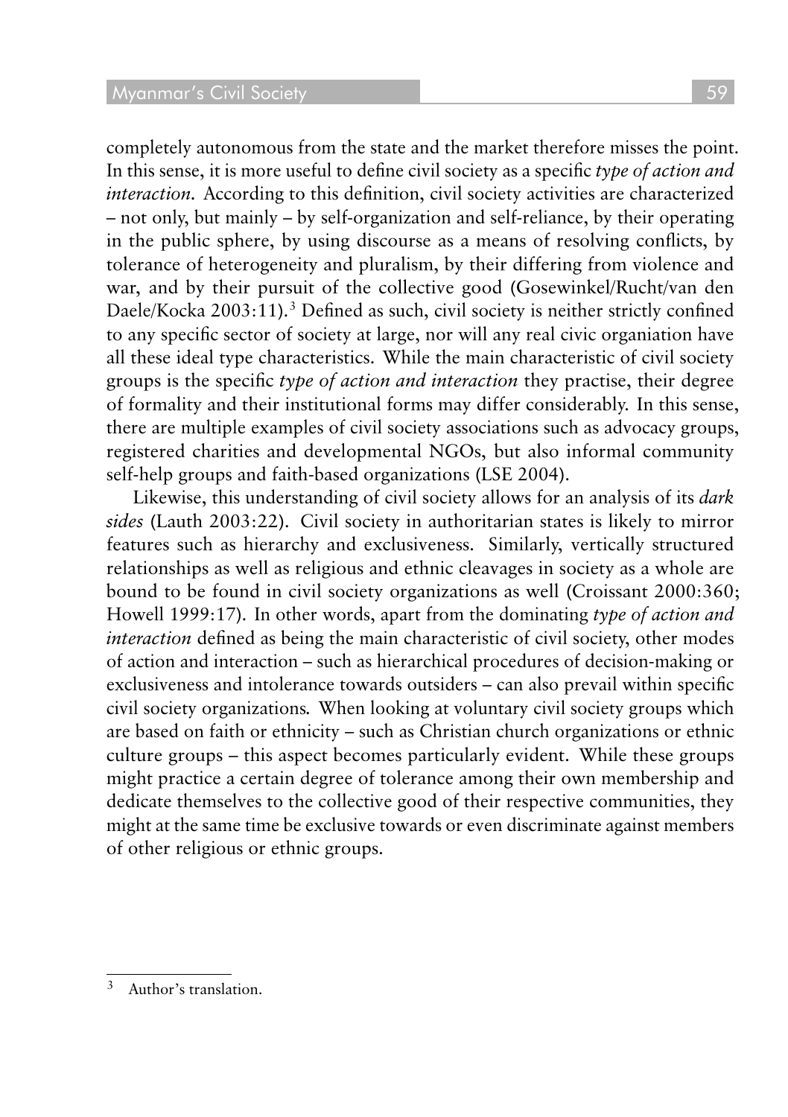completely autonomous from the state and the market therefore misses the point. In this sense, it is more useful to define civil society as a specific *type of action and interaction.* According to this definition, civil society activities are characterized – not only, but mainly – by self-organization and self-reliance, by their operating in the public sphere, by using discourse as a means of resolving conflicts, by tolerance of heterogeneity and pluralism, by their differing from violence and war, and by their pursuit of the collective good (Gosewinkel/Rucht/van den Daele/Kocka 2003:11).<sup>3</sup> Defined as such, civil society is neither strictly confined to any specific sector of society at large, nor will any real civic organiation have all these ideal type characteristics. While the main characteristic of civil society groups is the specific *type of action and interaction* they practise, their degree of formality and their institutional forms may differ considerably. In this sense, there are multiple examples of civil society associations such as advocacy groups, registered charities and developmental NGOs, but also informal community self-help groups and faith-based organizations (LSE 2004).

Likewise, this understanding of civil society allows for an analysis of its *dark sides* (Lauth 2003:22). Civil society in authoritarian states is likely to mirror features such as hierarchy and exclusiveness. Similarly, vertically structured relationships as well as religious and ethnic cleavages in society as a whole are bound to be found in civil society organizations as well (Croissant 2000:360; Howell 1999:17). In other words, apart from the dominating *type of action and interaction* defined as being the main characteristic of civil society, other modes of action and interaction – such as hierarchical procedures of decision-making or exclusiveness and intolerance towards outsiders – can also prevail within specific civil society organizations*.* When looking at voluntary civil society groups which are based on faith or ethnicity – such as Christian church organizations or ethnic culture groups – this aspect becomes particularly evident. While these groups might practice a certain degree of tolerance among their own membership and dedicate themselves to the collective good of their respective communities, they might at the same time be exclusive towards or even discriminate against members of other religious or ethnic groups.

<sup>3</sup> Author's translation.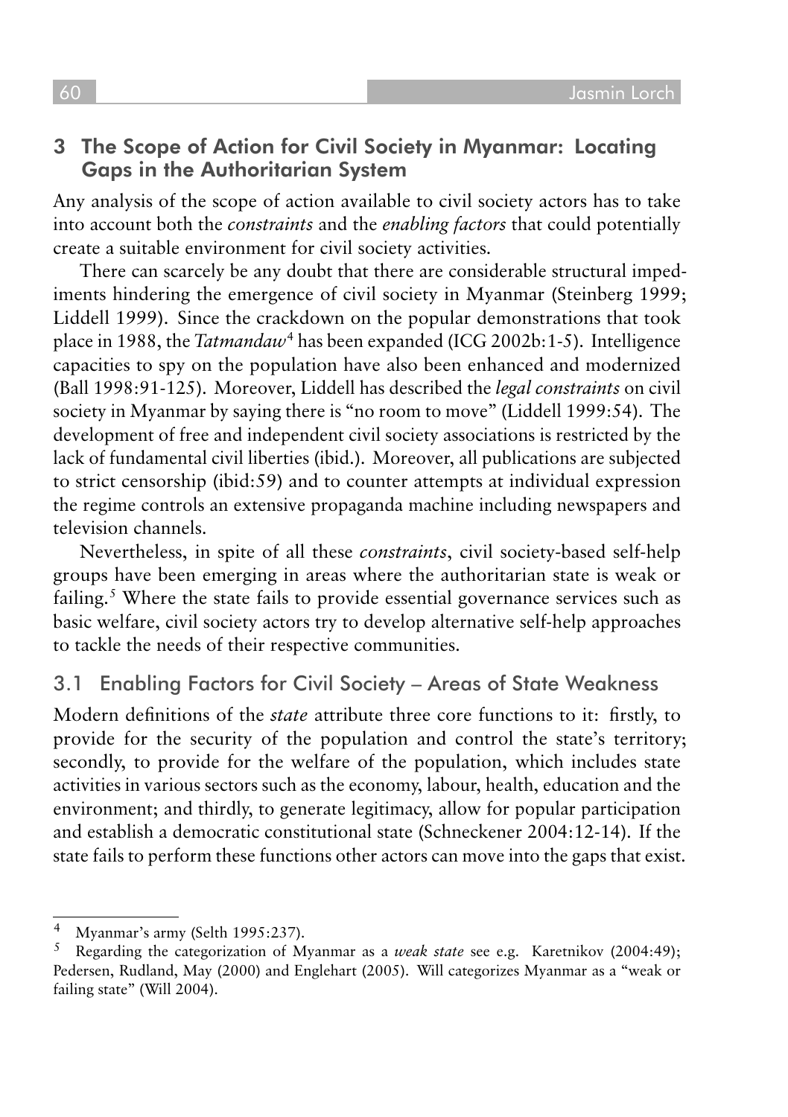#### 3 The Scope of Action for Civil Society in Myanmar: Locating Gaps in the Authoritarian System

Any analysis of the scope of action available to civil society actors has to take into account both the *constraints* and the *enabling factors* that could potentially create a suitable environment for civil society activities.

There can scarcely be any doubt that there are considerable structural impediments hindering the emergence of civil society in Myanmar (Steinberg 1999; Liddell 1999). Since the crackdown on the popular demonstrations that took place in 1988, the *Tatmandaw*<sup>4</sup> has been expanded (ICG 2002b:1-5). Intelligence capacities to spy on the population have also been enhanced and modernized (Ball 1998:91-125). Moreover, Liddell has described the *legal constraints* on civil society in Myanmar by saying there is "no room to move" (Liddell 1999:54). The development of free and independent civil society associations is restricted by the lack of fundamental civil liberties (ibid.). Moreover, all publications are subjected to strict censorship (ibid:59) and to counter attempts at individual expression the regime controls an extensive propaganda machine including newspapers and television channels.

Nevertheless, in spite of all these *constraints*, civil society-based self-help groups have been emerging in areas where the authoritarian state is weak or failing. <sup>5</sup> Where the state fails to provide essential governance services such as basic welfare, civil society actors try to develop alternative self-help approaches to tackle the needs of their respective communities.

#### 3.1 Enabling Factors for Civil Society – Areas of State Weakness

Modern definitions of the *state* attribute three core functions to it: firstly, to provide for the security of the population and control the state's territory; secondly, to provide for the welfare of the population, which includes state activities in various sectors such as the economy, labour, health, education and the environment; and thirdly, to generate legitimacy, allow for popular participation and establish a democratic constitutional state (Schneckener 2004:12-14). If the state fails to perform these functions other actors can move into the gaps that exist.

<sup>&</sup>lt;sup>4</sup> Myanmar's army (Selth 1995:237).<br> $\frac{5}{\text{Rearithm}}$  the categorization of M

<sup>5</sup> Regarding the categorization of Myanmar as a *weak state* see e.g. Karetnikov (2004:49); Pedersen, Rudland, May (2000) and Englehart (2005). Will categorizes Myanmar as a "weak or failing state" (Will 2004).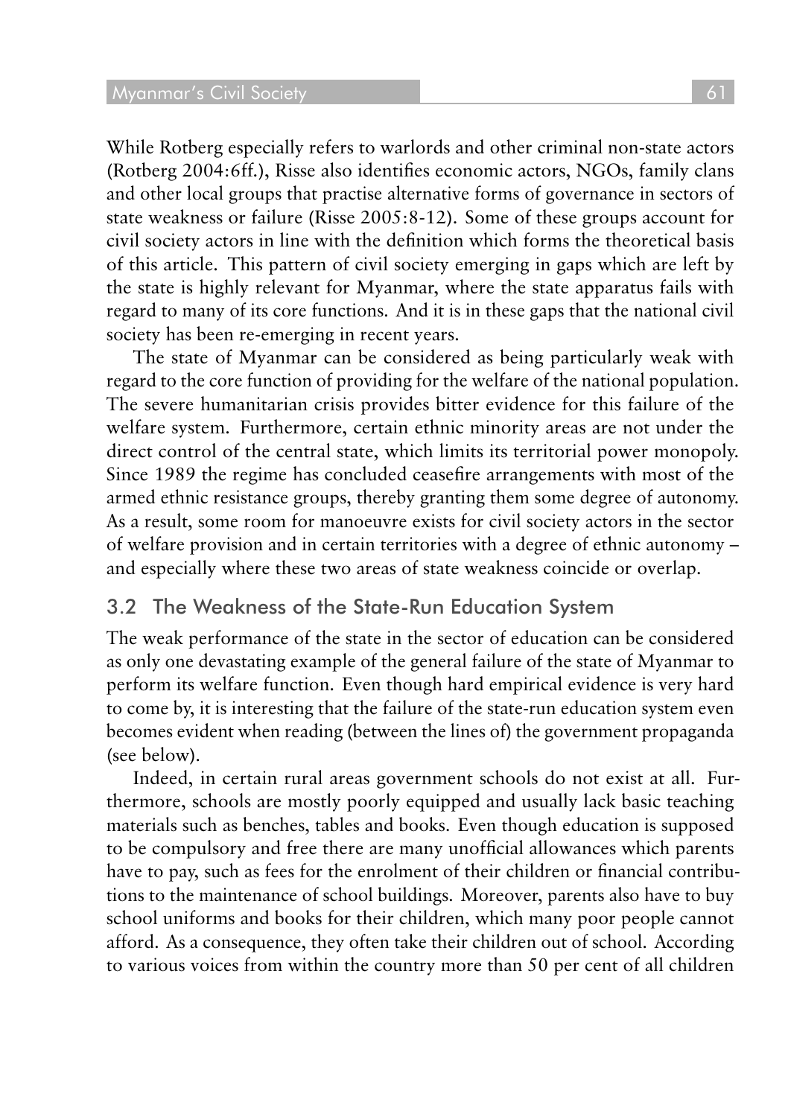While Rotberg especially refers to warlords and other criminal non-state actors (Rotberg 2004:6ff.), Risse also identifies economic actors, NGOs, family clans and other local groups that practise alternative forms of governance in sectors of state weakness or failure (Risse 2005:8-12). Some of these groups account for civil society actors in line with the definition which forms the theoretical basis of this article. This pattern of civil society emerging in gaps which are left by the state is highly relevant for Myanmar, where the state apparatus fails with regard to many of its core functions. And it is in these gaps that the national civil society has been re-emerging in recent years.

The state of Myanmar can be considered as being particularly weak with regard to the core function of providing for the welfare of the national population. The severe humanitarian crisis provides bitter evidence for this failure of the welfare system. Furthermore, certain ethnic minority areas are not under the direct control of the central state, which limits its territorial power monopoly. Since 1989 the regime has concluded ceasefire arrangements with most of the armed ethnic resistance groups, thereby granting them some degree of autonomy. As a result, some room for manoeuvre exists for civil society actors in the sector of welfare provision and in certain territories with a degree of ethnic autonomy – and especially where these two areas of state weakness coincide or overlap.

#### 3.2 The Weakness of the State-Run Education System

The weak performance of the state in the sector of education can be considered as only one devastating example of the general failure of the state of Myanmar to perform its welfare function. Even though hard empirical evidence is very hard to come by, it is interesting that the failure of the state-run education system even becomes evident when reading (between the lines of) the government propaganda (see below).

Indeed, in certain rural areas government schools do not exist at all. Furthermore, schools are mostly poorly equipped and usually lack basic teaching materials such as benches, tables and books. Even though education is supposed to be compulsory and free there are many unofficial allowances which parents have to pay, such as fees for the enrolment of their children or financial contributions to the maintenance of school buildings. Moreover, parents also have to buy school uniforms and books for their children, which many poor people cannot afford. As a consequence, they often take their children out of school. According to various voices from within the country more than 50 per cent of all children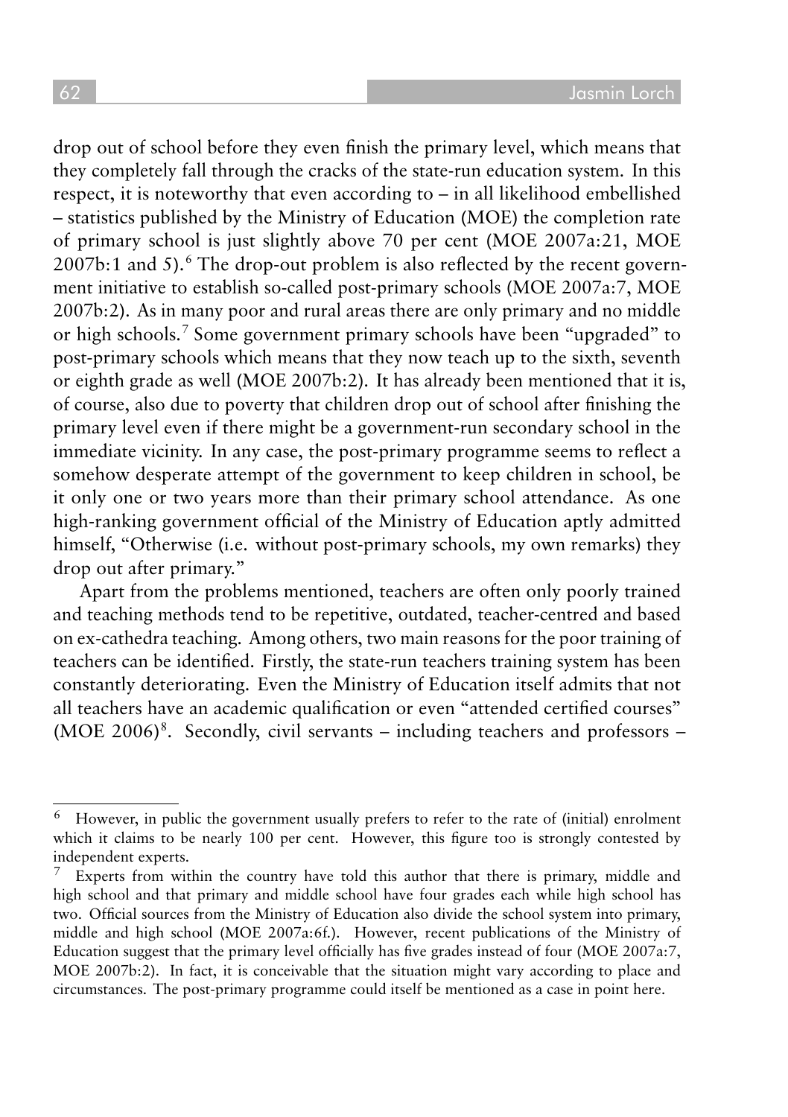drop out of school before they even finish the primary level, which means that they completely fall through the cracks of the state-run education system. In this respect, it is noteworthy that even according to – in all likelihood embellished – statistics published by the Ministry of Education (MOE) the completion rate of primary school is just slightly above 70 per cent (MOE 2007a:21, MOE  $2007b:1$  and 5).<sup>6</sup> The drop-out problem is also reflected by the recent government initiative to establish so-called post-primary schools (MOE 2007a:7, MOE 2007b:2). As in many poor and rural areas there are only primary and no middle or high schools. 7 Some government primary schools have been "upgraded" to post-primary schools which means that they now teach up to the sixth, seventh or eighth grade as well (MOE 2007b:2). It has already been mentioned that it is, of course, also due to poverty that children drop out of school after finishing the primary level even if there might be a government-run secondary school in the immediate vicinity. In any case, the post-primary programme seems to reflect a somehow desperate attempt of the government to keep children in school, be it only one or two years more than their primary school attendance. As one high-ranking government official of the Ministry of Education aptly admitted himself, "Otherwise (i.e. without post-primary schools, my own remarks) they drop out after primary."

Apart from the problems mentioned, teachers are often only poorly trained and teaching methods tend to be repetitive, outdated, teacher-centred and based on ex-cathedra teaching. Among others, two main reasons for the poor training of teachers can be identified. Firstly, the state-run teachers training system has been constantly deteriorating. Even the Ministry of Education itself admits that not all teachers have an academic qualification or even "attended certified courses" (MOE 2006)<sup>8</sup>. Secondly, civil servants – including teachers and professors –

 $6$  However, in public the government usually prefers to refer to the rate of (initial) enrolment which it claims to be nearly 100 per cent. However, this figure too is strongly contested by independent experts.

Experts from within the country have told this author that there is primary, middle and high school and that primary and middle school have four grades each while high school has two. Official sources from the Ministry of Education also divide the school system into primary, middle and high school (MOE 2007a:6f.). However, recent publications of the Ministry of Education suggest that the primary level officially has five grades instead of four (MOE 2007a:7, MOE 2007b:2). In fact, it is conceivable that the situation might vary according to place and circumstances. The post-primary programme could itself be mentioned as a case in point here.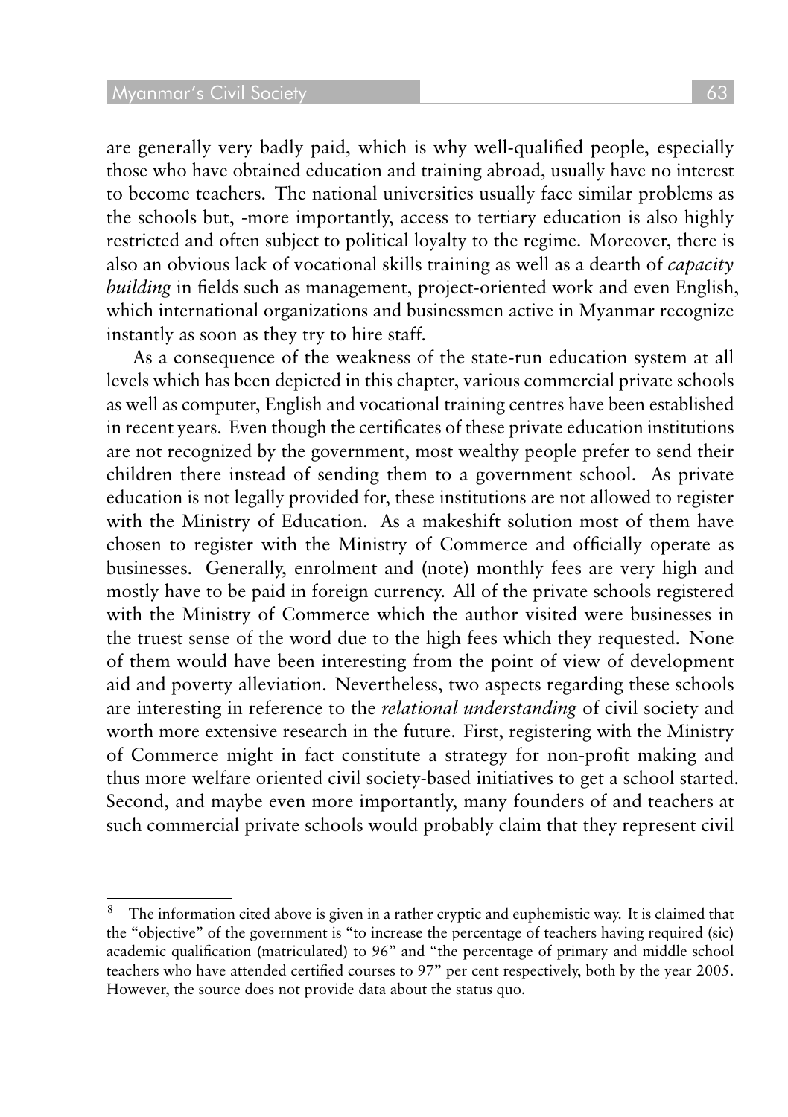are generally very badly paid, which is why well-qualified people, especially those who have obtained education and training abroad, usually have no interest to become teachers. The national universities usually face similar problems as the schools but, -more importantly, access to tertiary education is also highly restricted and often subject to political loyalty to the regime. Moreover, there is also an obvious lack of vocational skills training as well as a dearth of *capacity building* in fields such as management, project-oriented work and even English, which international organizations and businessmen active in Myanmar recognize instantly as soon as they try to hire staff.

As a consequence of the weakness of the state-run education system at all levels which has been depicted in this chapter, various commercial private schools as well as computer, English and vocational training centres have been established in recent years. Even though the certificates of these private education institutions are not recognized by the government, most wealthy people prefer to send their children there instead of sending them to a government school. As private education is not legally provided for, these institutions are not allowed to register with the Ministry of Education. As a makeshift solution most of them have chosen to register with the Ministry of Commerce and officially operate as businesses. Generally, enrolment and (note) monthly fees are very high and mostly have to be paid in foreign currency. All of the private schools registered with the Ministry of Commerce which the author visited were businesses in the truest sense of the word due to the high fees which they requested. None of them would have been interesting from the point of view of development aid and poverty alleviation. Nevertheless, two aspects regarding these schools are interesting in reference to the *relational understanding* of civil society and worth more extensive research in the future. First, registering with the Ministry of Commerce might in fact constitute a strategy for non-profit making and thus more welfare oriented civil society-based initiatives to get a school started. Second, and maybe even more importantly, many founders of and teachers at such commercial private schools would probably claim that they represent civil

<sup>8</sup> The information cited above is given in a rather cryptic and euphemistic way. It is claimed that the "objective" of the government is "to increase the percentage of teachers having required (sic) academic qualification (matriculated) to 96" and "the percentage of primary and middle school teachers who have attended certified courses to 97" per cent respectively, both by the year 2005. However, the source does not provide data about the status quo.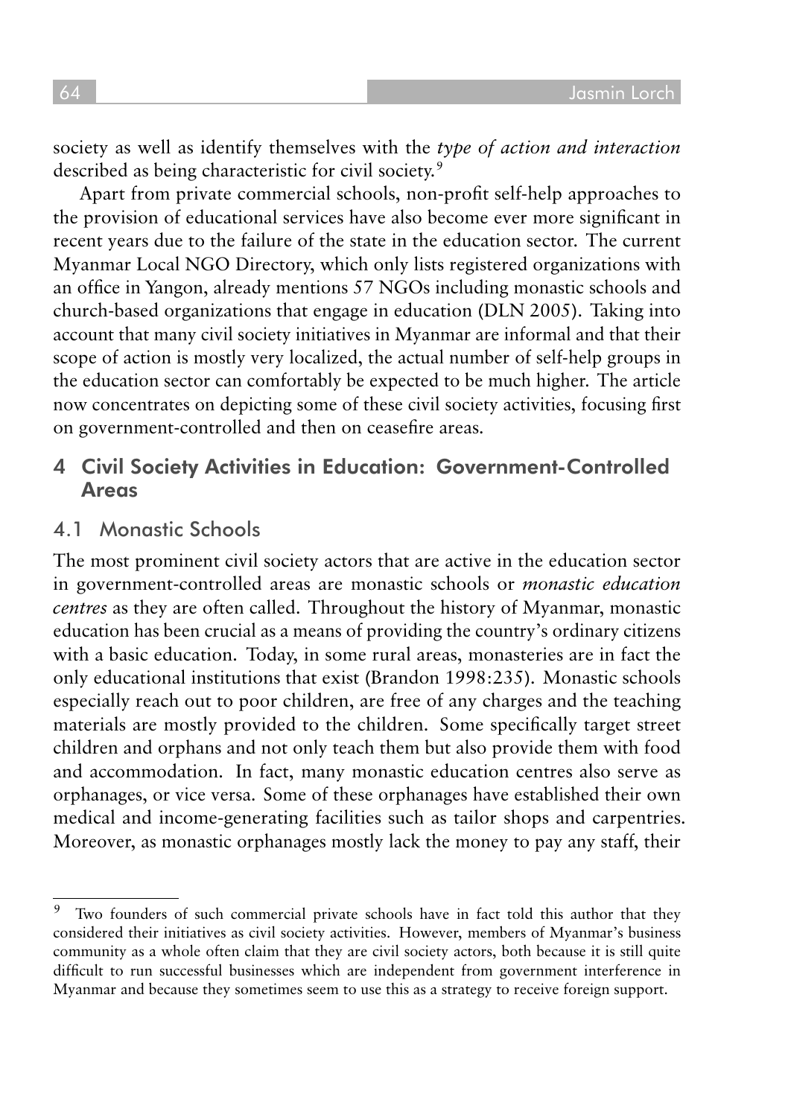society as well as identify themselves with the *type of action and interaction* described as being characteristic for civil society.<sup>9</sup>

Apart from private commercial schools, non-profit self-help approaches to the provision of educational services have also become ever more significant in recent years due to the failure of the state in the education sector. The current Myanmar Local NGO Directory, which only lists registered organizations with an office in Yangon, already mentions 57 NGOs including monastic schools and church-based organizations that engage in education (DLN 2005). Taking into account that many civil society initiatives in Myanmar are informal and that their scope of action is mostly very localized, the actual number of self-help groups in the education sector can comfortably be expected to be much higher. The article now concentrates on depicting some of these civil society activities, focusing first on government-controlled and then on ceasefire areas.

#### 4 Civil Society Activities in Education: Government-Controlled **Areas**

#### 4.1 Monastic Schools

The most prominent civil society actors that are active in the education sector in government-controlled areas are monastic schools or *monastic education centres* as they are often called. Throughout the history of Myanmar, monastic education has been crucial as a means of providing the country's ordinary citizens with a basic education. Today, in some rural areas, monasteries are in fact the only educational institutions that exist (Brandon 1998:235). Monastic schools especially reach out to poor children, are free of any charges and the teaching materials are mostly provided to the children. Some specifically target street children and orphans and not only teach them but also provide them with food and accommodation. In fact, many monastic education centres also serve as orphanages, or vice versa. Some of these orphanages have established their own medical and income-generating facilities such as tailor shops and carpentries. Moreover, as monastic orphanages mostly lack the money to pay any staff, their

<sup>&</sup>lt;sup>9</sup> Two founders of such commercial private schools have in fact told this author that they considered their initiatives as civil society activities. However, members of Myanmar's business community as a whole often claim that they are civil society actors, both because it is still quite difficult to run successful businesses which are independent from government interference in Myanmar and because they sometimes seem to use this as a strategy to receive foreign support.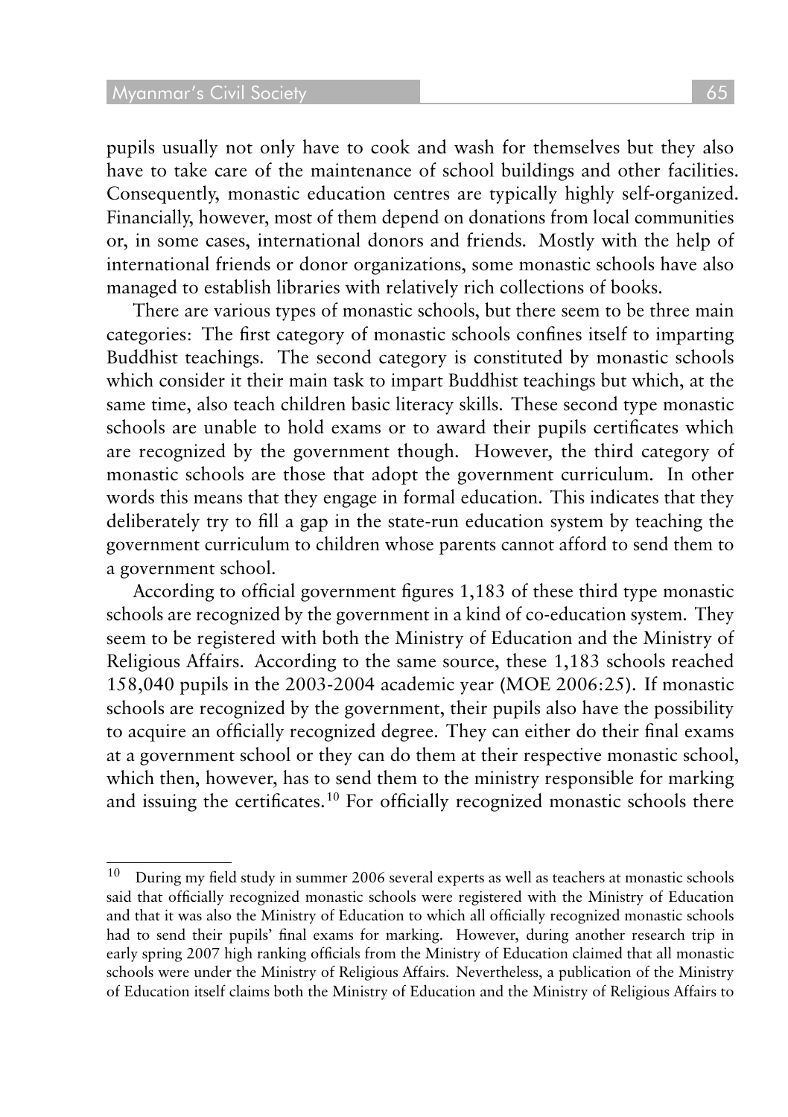pupils usually not only have to cook and wash for themselves but they also have to take care of the maintenance of school buildings and other facilities. Consequently, monastic education centres are typically highly self-organized. Financially, however, most of them depend on donations from local communities or, in some cases, international donors and friends. Mostly with the help of international friends or donor organizations, some monastic schools have also managed to establish libraries with relatively rich collections of books.

There are various types of monastic schools, but there seem to be three main categories: The first category of monastic schools confines itself to imparting Buddhist teachings. The second category is constituted by monastic schools which consider it their main task to impart Buddhist teachings but which, at the same time, also teach children basic literacy skills. These second type monastic schools are unable to hold exams or to award their pupils certificates which are recognized by the government though. However, the third category of monastic schools are those that adopt the government curriculum. In other words this means that they engage in formal education. This indicates that they deliberately try to fill a gap in the state-run education system by teaching the government curriculum to children whose parents cannot afford to send them to a government school.

According to official government figures 1,183 of these third type monastic schools are recognized by the government in a kind of co-education system. They seem to be registered with both the Ministry of Education and the Ministry of Religious Affairs. According to the same source, these 1,183 schools reached 158,040 pupils in the 2003-2004 academic year (MOE 2006:25). If monastic schools are recognized by the government, their pupils also have the possibility to acquire an officially recognized degree. They can either do their final exams at a government school or they can do them at their respective monastic school, which then, however, has to send them to the ministry responsible for marking and issuing the certificates.<sup>10</sup> For officially recognized monastic schools there

<sup>&</sup>lt;sup>10</sup> During my field study in summer 2006 several experts as well as teachers at monastic schools said that officially recognized monastic schools were registered with the Ministry of Education and that it was also the Ministry of Education to which all officially recognized monastic schools had to send their pupils' final exams for marking. However, during another research trip in early spring 2007 high ranking officials from the Ministry of Education claimed that all monastic schools were under the Ministry of Religious Affairs. Nevertheless, a publication of the Ministry of Education itself claims both the Ministry of Education and the Ministry of Religious Affairs to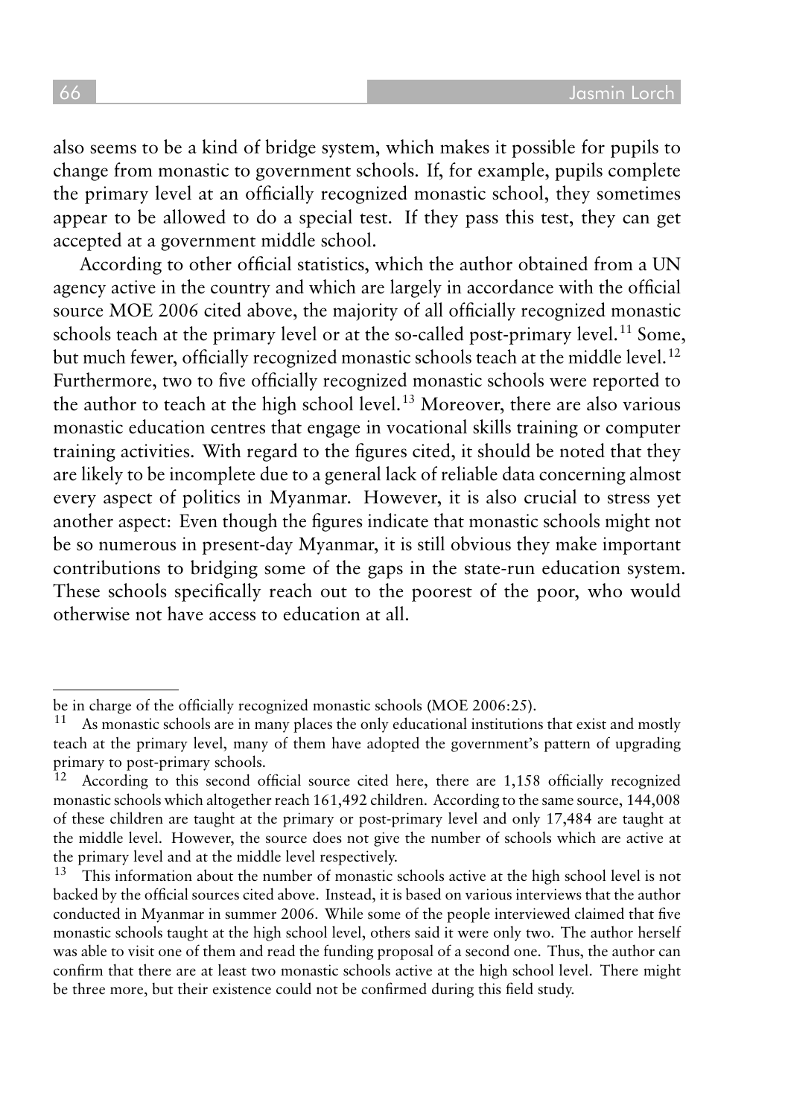also seems to be a kind of bridge system, which makes it possible for pupils to change from monastic to government schools. If, for example, pupils complete the primary level at an officially recognized monastic school, they sometimes appear to be allowed to do a special test. If they pass this test, they can get accepted at a government middle school.

According to other official statistics, which the author obtained from a UN agency active in the country and which are largely in accordance with the official source MOE 2006 cited above, the majority of all officially recognized monastic schools teach at the primary level or at the so-called post-primary level.<sup>11</sup> Some. but much fewer, officially recognized monastic schools teach at the middle level.<sup>12</sup> Furthermore, two to five officially recognized monastic schools were reported to the author to teach at the high school level.<sup>13</sup> Moreover, there are also various monastic education centres that engage in vocational skills training or computer training activities. With regard to the figures cited, it should be noted that they are likely to be incomplete due to a general lack of reliable data concerning almost every aspect of politics in Myanmar. However, it is also crucial to stress yet another aspect: Even though the figures indicate that monastic schools might not be so numerous in present-day Myanmar, it is still obvious they make important contributions to bridging some of the gaps in the state-run education system. These schools specifically reach out to the poorest of the poor, who would otherwise not have access to education at all.

be in charge of the officially recognized monastic schools (MOE 2006:25).<br> $\frac{11}{11}$  demonastic schools are in many places the only educational institution

<sup>11</sup> As monastic schools are in many places the only educational institutions that exist and mostly teach at the primary level, many of them have adopted the government's pattern of upgrading primary to post-primary schools.<br><sup>12</sup> According to this second of

According to this second official source cited here, there are 1,158 officially recognized monastic schools which altogether reach 161,492 children. According to the same source, 144,008 of these children are taught at the primary or post-primary level and only 17,484 are taught at the middle level. However, the source does not give the number of schools which are active at the primary level and at the middle level respectively.<br><sup>13</sup> This information shout the number of monogripe.

<sup>13</sup> This information about the number of monastic schools active at the high school level is not backed by the official sources cited above. Instead, it is based on various interviews that the author conducted in Myanmar in summer 2006. While some of the people interviewed claimed that five monastic schools taught at the high school level, others said it were only two. The author herself was able to visit one of them and read the funding proposal of a second one. Thus, the author can confirm that there are at least two monastic schools active at the high school level. There might be three more, but their existence could not be confirmed during this field study.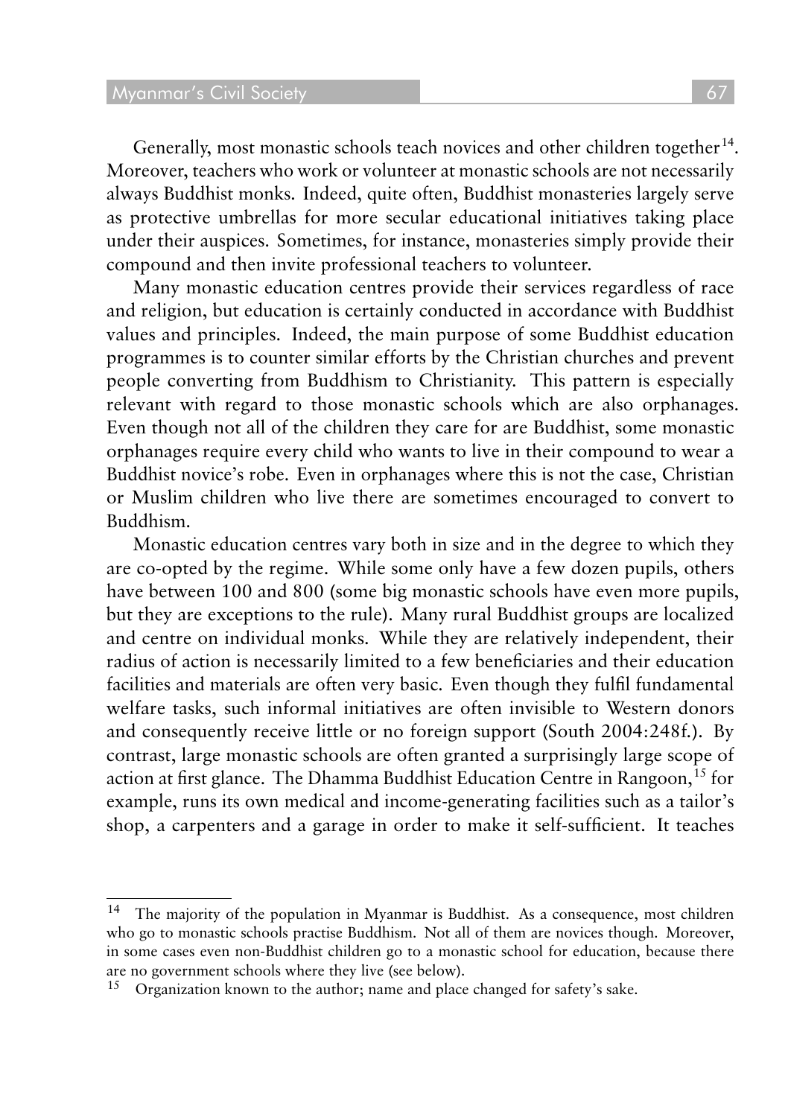Generally, most monastic schools teach novices and other children together<sup>14</sup>. Moreover, teachers who work or volunteer at monastic schools are not necessarily always Buddhist monks. Indeed, quite often, Buddhist monasteries largely serve as protective umbrellas for more secular educational initiatives taking place under their auspices. Sometimes, for instance, monasteries simply provide their compound and then invite professional teachers to volunteer.

Many monastic education centres provide their services regardless of race and religion, but education is certainly conducted in accordance with Buddhist values and principles. Indeed, the main purpose of some Buddhist education programmes is to counter similar efforts by the Christian churches and prevent people converting from Buddhism to Christianity. This pattern is especially relevant with regard to those monastic schools which are also orphanages. Even though not all of the children they care for are Buddhist, some monastic orphanages require every child who wants to live in their compound to wear a Buddhist novice's robe. Even in orphanages where this is not the case, Christian or Muslim children who live there are sometimes encouraged to convert to Buddhism.

Monastic education centres vary both in size and in the degree to which they are co-opted by the regime. While some only have a few dozen pupils, others have between 100 and 800 (some big monastic schools have even more pupils, but they are exceptions to the rule). Many rural Buddhist groups are localized and centre on individual monks. While they are relatively independent, their radius of action is necessarily limited to a few beneficiaries and their education facilities and materials are often very basic. Even though they fulfil fundamental welfare tasks, such informal initiatives are often invisible to Western donors and consequently receive little or no foreign support (South 2004:248f.). By contrast, large monastic schools are often granted a surprisingly large scope of action at first glance. The Dhamma Buddhist Education Centre in Rangoon, <sup>15</sup> for example, runs its own medical and income-generating facilities such as a tailor's shop, a carpenters and a garage in order to make it self-sufficient. It teaches

<sup>14</sup> The majority of the population in Myanmar is Buddhist. As a consequence, most children who go to monastic schools practise Buddhism. Not all of them are novices though. Moreover, in some cases even non-Buddhist children go to a monastic school for education, because there are no government schools where they live (see below).

<sup>&</sup>lt;sup>15</sup> Organization known to the author; name and place changed for safety's sake.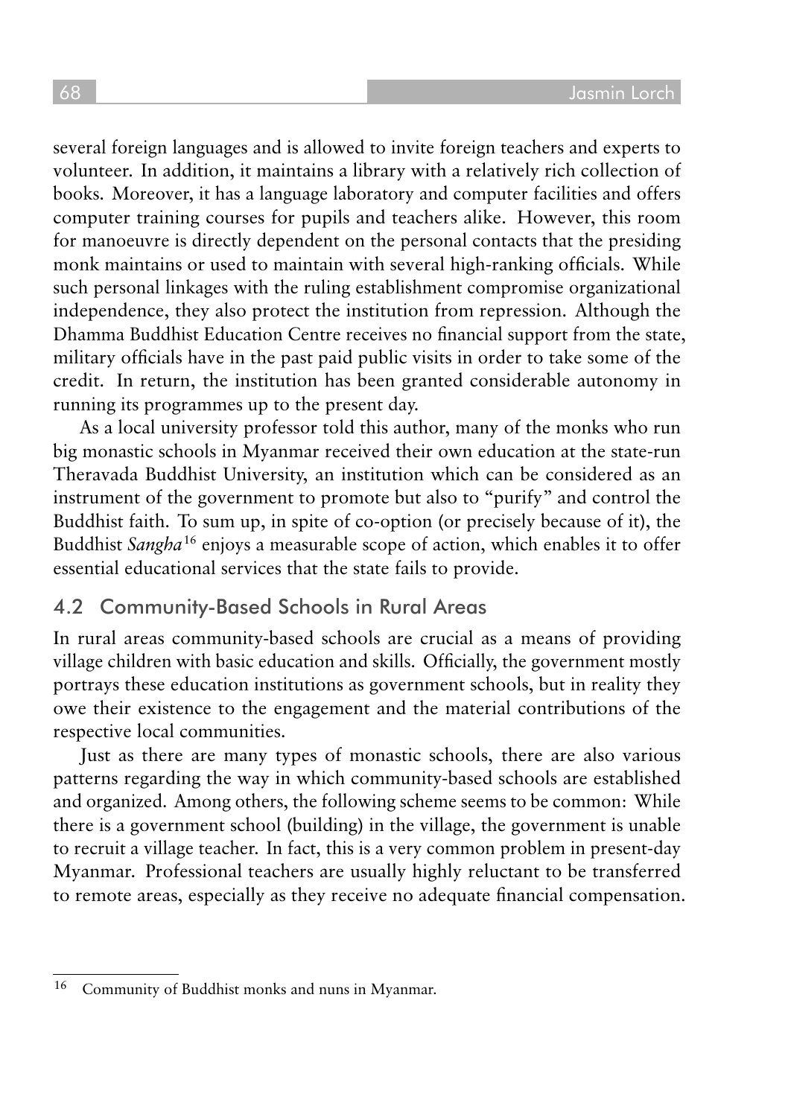several foreign languages and is allowed to invite foreign teachers and experts to volunteer. In addition, it maintains a library with a relatively rich collection of books. Moreover, it has a language laboratory and computer facilities and offers computer training courses for pupils and teachers alike. However, this room for manoeuvre is directly dependent on the personal contacts that the presiding monk maintains or used to maintain with several high-ranking officials. While such personal linkages with the ruling establishment compromise organizational independence, they also protect the institution from repression. Although the Dhamma Buddhist Education Centre receives no financial support from the state, military officials have in the past paid public visits in order to take some of the credit. In return, the institution has been granted considerable autonomy in running its programmes up to the present day.

As a local university professor told this author, many of the monks who run big monastic schools in Myanmar received their own education at the state-run Theravada Buddhist University, an institution which can be considered as an instrument of the government to promote but also to "purify" and control the Buddhist faith. To sum up, in spite of co-option (or precisely because of it), the Buddhist *Sangha*<sup>16</sup> enjoys a measurable scope of action, which enables it to offer essential educational services that the state fails to provide.

#### 4.2 Community-Based Schools in Rural Areas

In rural areas community-based schools are crucial as a means of providing village children with basic education and skills. Officially, the government mostly portrays these education institutions as government schools, but in reality they owe their existence to the engagement and the material contributions of the respective local communities.

Just as there are many types of monastic schools, there are also various patterns regarding the way in which community-based schools are established and organized. Among others, the following scheme seems to be common: While there is a government school (building) in the village, the government is unable to recruit a village teacher. In fact, this is a very common problem in present-day Myanmar. Professional teachers are usually highly reluctant to be transferred to remote areas, especially as they receive no adequate financial compensation.

<sup>16</sup> Community of Buddhist monks and nuns in Myanmar.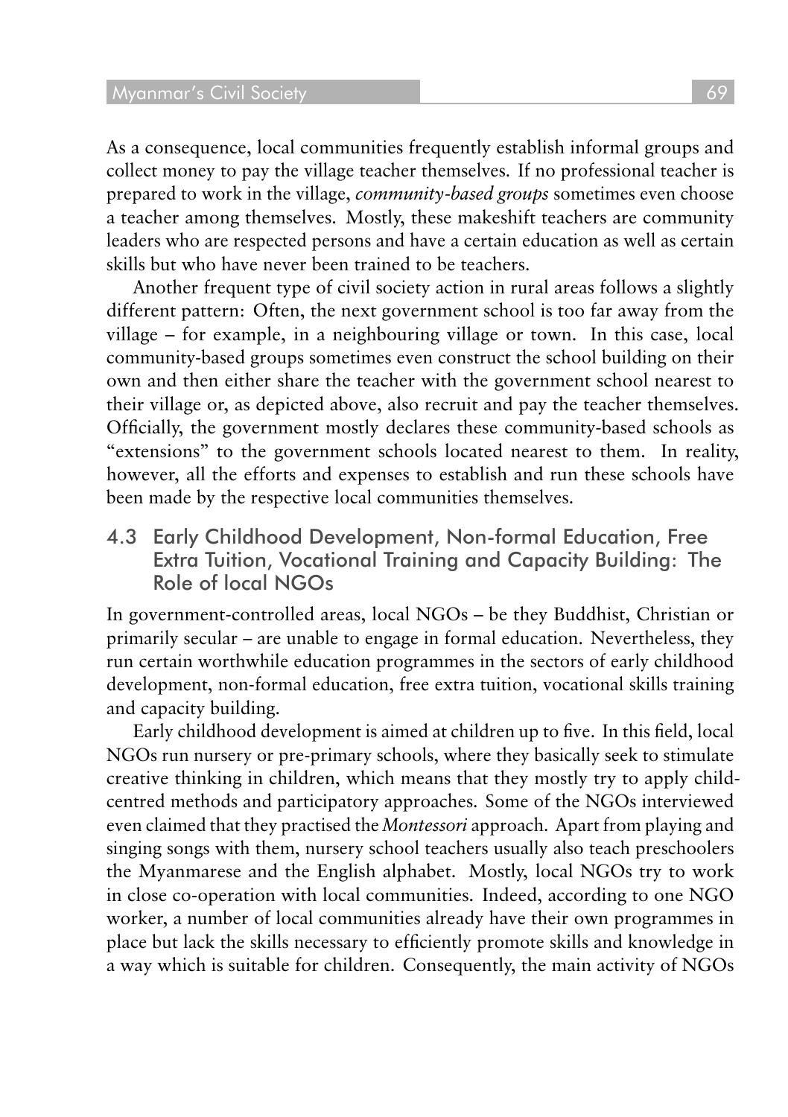As a consequence, local communities frequently establish informal groups and collect money to pay the village teacher themselves. If no professional teacher is prepared to work in the village, *community-based groups* sometimes even choose a teacher among themselves. Mostly, these makeshift teachers are community leaders who are respected persons and have a certain education as well as certain skills but who have never been trained to be teachers.

Another frequent type of civil society action in rural areas follows a slightly different pattern: Often, the next government school is too far away from the village – for example, in a neighbouring village or town. In this case, local community-based groups sometimes even construct the school building on their own and then either share the teacher with the government school nearest to their village or, as depicted above, also recruit and pay the teacher themselves. Officially, the government mostly declares these community-based schools as "extensions" to the government schools located nearest to them. In reality, however, all the efforts and expenses to establish and run these schools have been made by the respective local communities themselves.

4.3 Early Childhood Development, Non-formal Education, Free Extra Tuition, Vocational Training and Capacity Building: The Role of local NGOs

In government-controlled areas, local NGOs – be they Buddhist, Christian or primarily secular – are unable to engage in formal education. Nevertheless, they run certain worthwhile education programmes in the sectors of early childhood development, non-formal education, free extra tuition, vocational skills training and capacity building.

Early childhood development is aimed at children up to five. In this field, local NGOs run nursery or pre-primary schools, where they basically seek to stimulate creative thinking in children, which means that they mostly try to apply childcentred methods and participatory approaches. Some of the NGOs interviewed even claimed that they practised the *Montessori* approach. Apart from playing and singing songs with them, nursery school teachers usually also teach preschoolers the Myanmarese and the English alphabet. Mostly, local NGOs try to work in close co-operation with local communities. Indeed, according to one NGO worker, a number of local communities already have their own programmes in place but lack the skills necessary to efficiently promote skills and knowledge in a way which is suitable for children. Consequently, the main activity of NGOs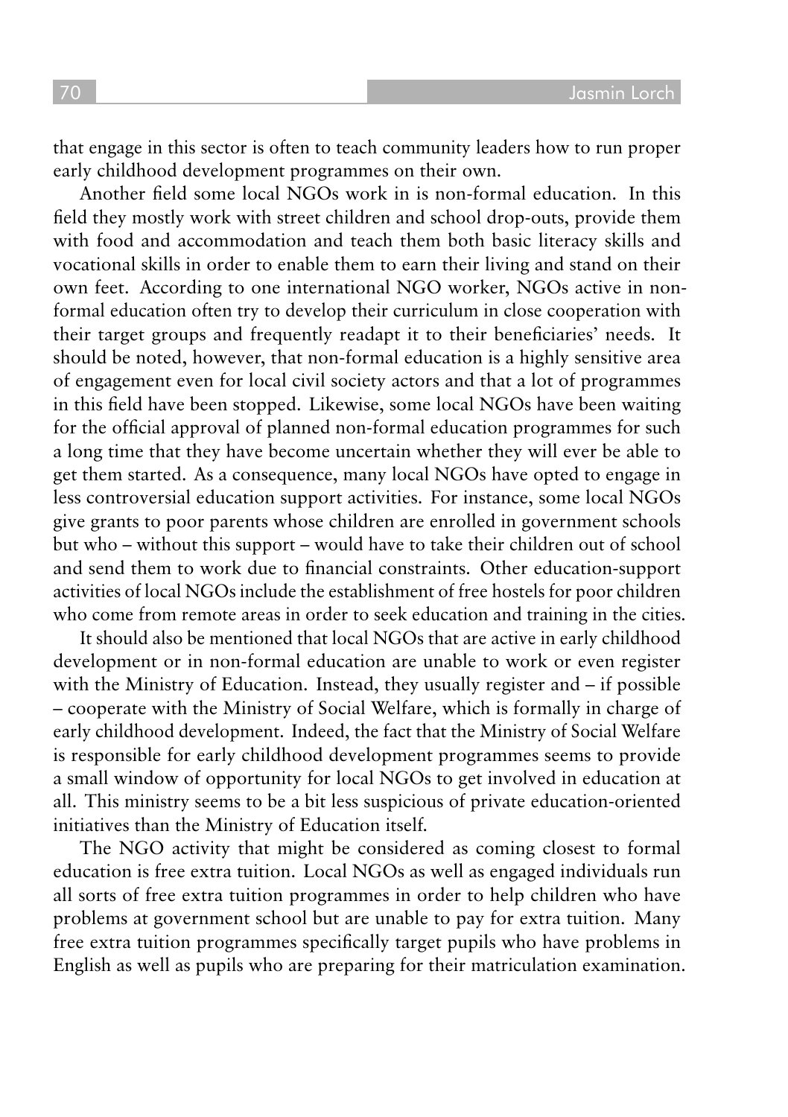that engage in this sector is often to teach community leaders how to run proper early childhood development programmes on their own.

Another field some local NGOs work in is non-formal education. In this field they mostly work with street children and school drop-outs, provide them with food and accommodation and teach them both basic literacy skills and vocational skills in order to enable them to earn their living and stand on their own feet. According to one international NGO worker, NGOs active in nonformal education often try to develop their curriculum in close cooperation with their target groups and frequently readapt it to their beneficiaries' needs. It should be noted, however, that non-formal education is a highly sensitive area of engagement even for local civil society actors and that a lot of programmes in this field have been stopped. Likewise, some local NGOs have been waiting for the official approval of planned non-formal education programmes for such a long time that they have become uncertain whether they will ever be able to get them started. As a consequence, many local NGOs have opted to engage in less controversial education support activities. For instance, some local NGOs give grants to poor parents whose children are enrolled in government schools but who – without this support – would have to take their children out of school and send them to work due to financial constraints. Other education-support activities of local NGOs include the establishment of free hostels for poor children who come from remote areas in order to seek education and training in the cities.

It should also be mentioned that local NGOs that are active in early childhood development or in non-formal education are unable to work or even register with the Ministry of Education. Instead, they usually register and – if possible – cooperate with the Ministry of Social Welfare, which is formally in charge of early childhood development. Indeed, the fact that the Ministry of Social Welfare is responsible for early childhood development programmes seems to provide a small window of opportunity for local NGOs to get involved in education at all. This ministry seems to be a bit less suspicious of private education-oriented initiatives than the Ministry of Education itself.

The NGO activity that might be considered as coming closest to formal education is free extra tuition. Local NGOs as well as engaged individuals run all sorts of free extra tuition programmes in order to help children who have problems at government school but are unable to pay for extra tuition. Many free extra tuition programmes specifically target pupils who have problems in English as well as pupils who are preparing for their matriculation examination.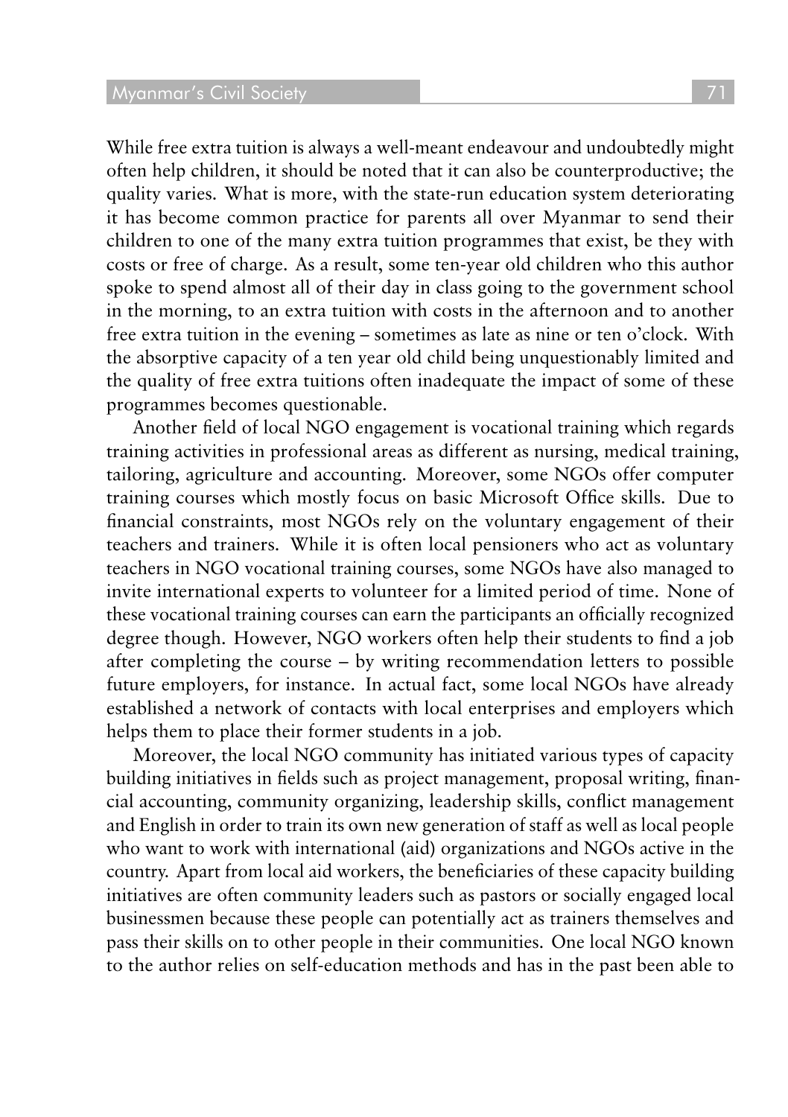While free extra tuition is always a well-meant endeavour and undoubtedly might often help children, it should be noted that it can also be counterproductive; the quality varies. What is more, with the state-run education system deteriorating it has become common practice for parents all over Myanmar to send their children to one of the many extra tuition programmes that exist, be they with costs or free of charge. As a result, some ten-year old children who this author spoke to spend almost all of their day in class going to the government school in the morning, to an extra tuition with costs in the afternoon and to another free extra tuition in the evening – sometimes as late as nine or ten o'clock. With the absorptive capacity of a ten year old child being unquestionably limited and the quality of free extra tuitions often inadequate the impact of some of these programmes becomes questionable.

Another field of local NGO engagement is vocational training which regards training activities in professional areas as different as nursing, medical training, tailoring, agriculture and accounting. Moreover, some NGOs offer computer training courses which mostly focus on basic Microsoft Office skills. Due to financial constraints, most NGOs rely on the voluntary engagement of their teachers and trainers. While it is often local pensioners who act as voluntary teachers in NGO vocational training courses, some NGOs have also managed to invite international experts to volunteer for a limited period of time. None of these vocational training courses can earn the participants an officially recognized degree though. However, NGO workers often help their students to find a job after completing the course – by writing recommendation letters to possible future employers, for instance. In actual fact, some local NGOs have already established a network of contacts with local enterprises and employers which helps them to place their former students in a job.

Moreover, the local NGO community has initiated various types of capacity building initiatives in fields such as project management, proposal writing, financial accounting, community organizing, leadership skills, conflict management and English in order to train its own new generation of staff as well as local people who want to work with international (aid) organizations and NGOs active in the country. Apart from local aid workers, the beneficiaries of these capacity building initiatives are often community leaders such as pastors or socially engaged local businessmen because these people can potentially act as trainers themselves and pass their skills on to other people in their communities. One local NGO known to the author relies on self-education methods and has in the past been able to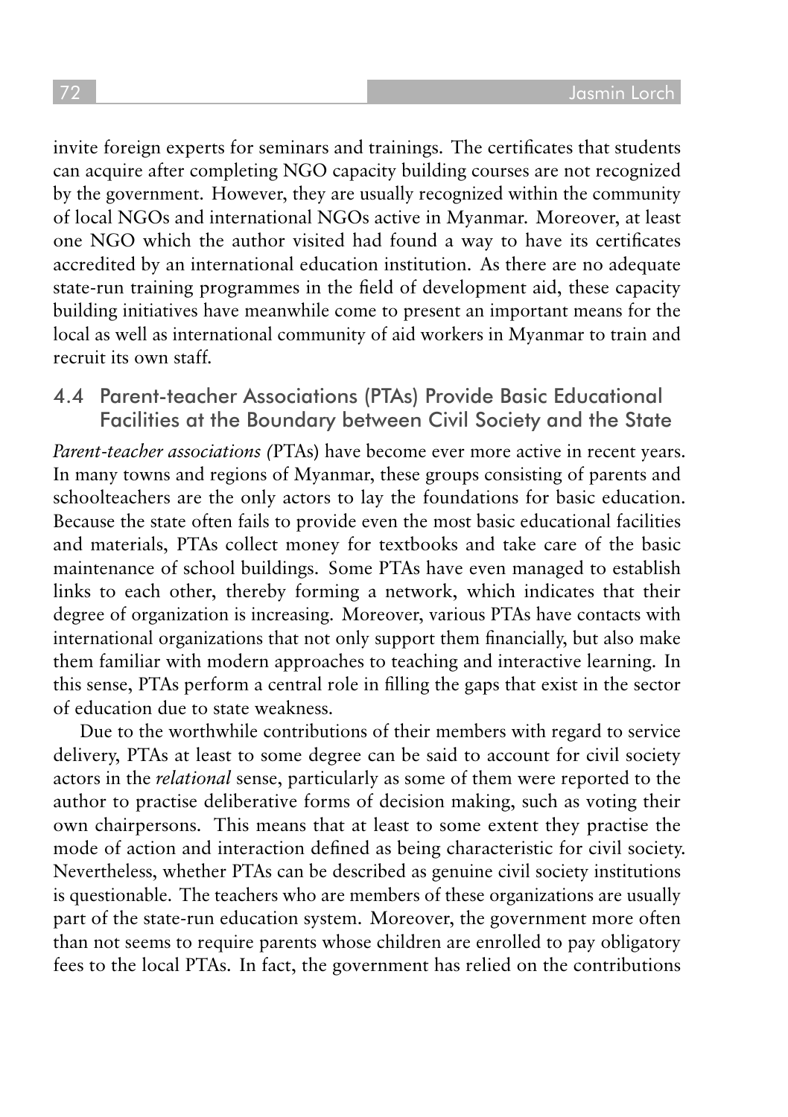invite foreign experts for seminars and trainings. The certificates that students can acquire after completing NGO capacity building courses are not recognized by the government. However, they are usually recognized within the community of local NGOs and international NGOs active in Myanmar. Moreover, at least one NGO which the author visited had found a way to have its certificates accredited by an international education institution. As there are no adequate state-run training programmes in the field of development aid, these capacity building initiatives have meanwhile come to present an important means for the local as well as international community of aid workers in Myanmar to train and recruit its own staff.

4.4 Parent-teacher Associations (PTAs) Provide Basic Educational Facilities at the Boundary between Civil Society and the State

*Parent-teacher associations (*PTAs) have become ever more active in recent years. In many towns and regions of Myanmar, these groups consisting of parents and schoolteachers are the only actors to lay the foundations for basic education. Because the state often fails to provide even the most basic educational facilities and materials, PTAs collect money for textbooks and take care of the basic maintenance of school buildings. Some PTAs have even managed to establish links to each other, thereby forming a network, which indicates that their degree of organization is increasing. Moreover, various PTAs have contacts with international organizations that not only support them financially, but also make them familiar with modern approaches to teaching and interactive learning. In this sense, PTAs perform a central role in filling the gaps that exist in the sector of education due to state weakness.

Due to the worthwhile contributions of their members with regard to service delivery, PTAs at least to some degree can be said to account for civil society actors in the *relational* sense, particularly as some of them were reported to the author to practise deliberative forms of decision making, such as voting their own chairpersons. This means that at least to some extent they practise the mode of action and interaction defined as being characteristic for civil society. Nevertheless, whether PTAs can be described as genuine civil society institutions is questionable. The teachers who are members of these organizations are usually part of the state-run education system. Moreover, the government more often than not seems to require parents whose children are enrolled to pay obligatory fees to the local PTAs. In fact, the government has relied on the contributions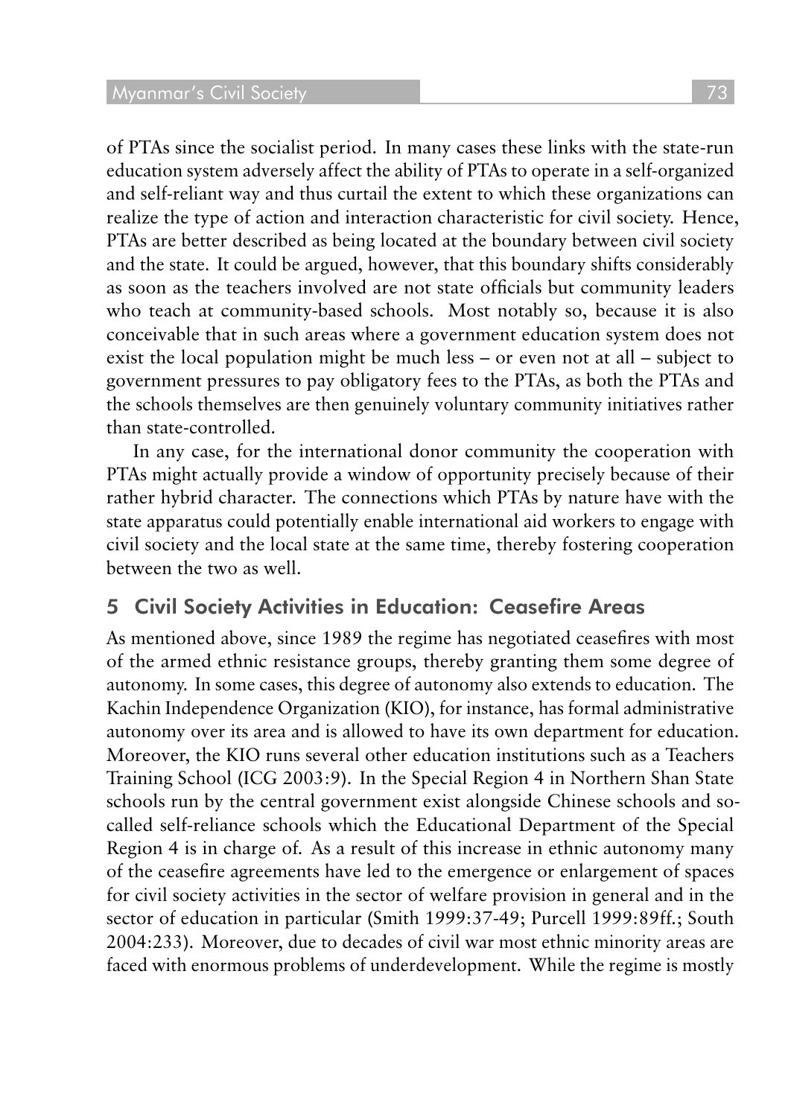of PTAs since the socialist period. In many cases these links with the state-run education system adversely affect the ability of PTAs to operate in a self-organized and self-reliant way and thus curtail the extent to which these organizations can realize the type of action and interaction characteristic for civil society. Hence, PTAs are better described as being located at the boundary between civil society and the state. It could be argued, however, that this boundary shifts considerably as soon as the teachers involved are not state officials but community leaders who teach at community-based schools. Most notably so, because it is also conceivable that in such areas where a government education system does not exist the local population might be much less – or even not at all – subject to government pressures to pay obligatory fees to the PTAs, as both the PTAs and the schools themselves are then genuinely voluntary community initiatives rather than state-controlled.

In any case, for the international donor community the cooperation with PTAs might actually provide a window of opportunity precisely because of their rather hybrid character. The connections which PTAs by nature have with the state apparatus could potentially enable international aid workers to engage with civil society and the local state at the same time, thereby fostering cooperation between the two as well.

## 5 Civil Society Activities in Education: Ceasefire Areas

As mentioned above, since 1989 the regime has negotiated ceasefires with most of the armed ethnic resistance groups, thereby granting them some degree of autonomy. In some cases, this degree of autonomy also extends to education. The Kachin Independence Organization (KIO), for instance, has formal administrative autonomy over its area and is allowed to have its own department for education. Moreover, the KIO runs several other education institutions such as a Teachers Training School (ICG 2003:9). In the Special Region 4 in Northern Shan State schools run by the central government exist alongside Chinese schools and socalled self-reliance schools which the Educational Department of the Special Region 4 is in charge of. As a result of this increase in ethnic autonomy many of the ceasefire agreements have led to the emergence or enlargement of spaces for civil society activities in the sector of welfare provision in general and in the sector of education in particular (Smith 1999:37-49; Purcell 1999:89ff.; South 2004:233). Moreover, due to decades of civil war most ethnic minority areas are faced with enormous problems of underdevelopment. While the regime is mostly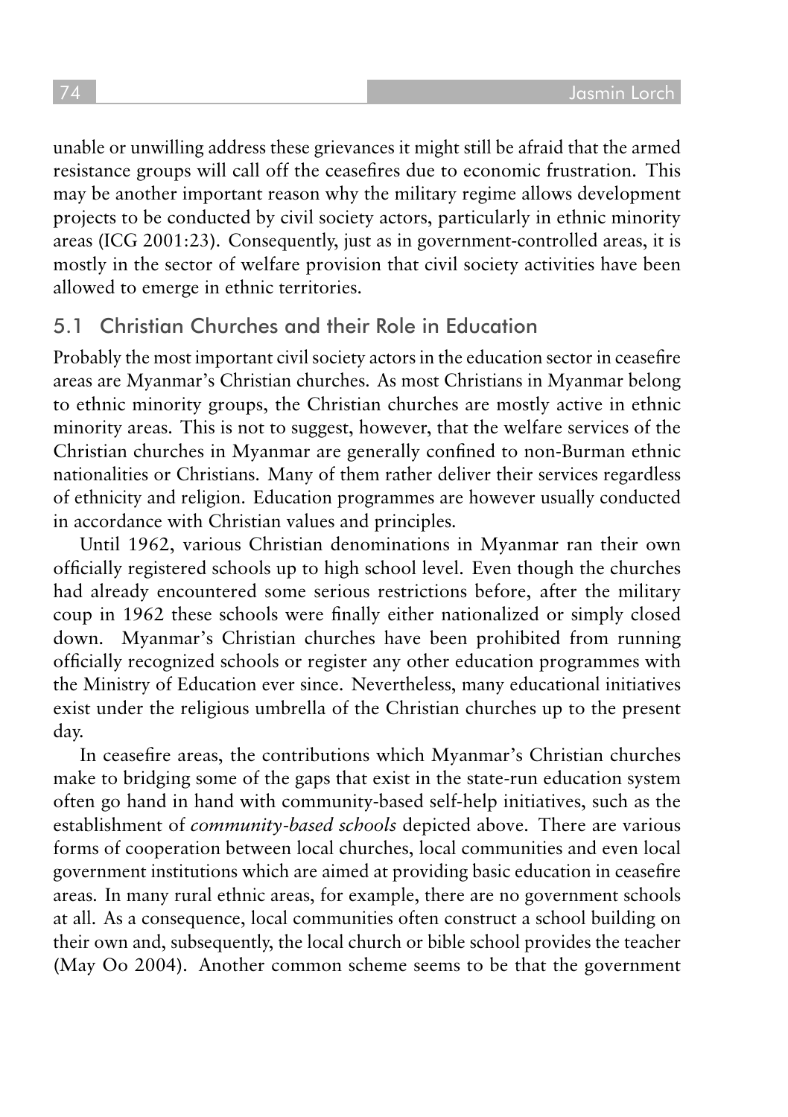unable or unwilling address these grievances it might still be afraid that the armed resistance groups will call off the ceasefires due to economic frustration. This may be another important reason why the military regime allows development projects to be conducted by civil society actors, particularly in ethnic minority areas (ICG 2001:23). Consequently, just as in government-controlled areas, it is mostly in the sector of welfare provision that civil society activities have been allowed to emerge in ethnic territories.

#### 5.1 Christian Churches and their Role in Education

Probably the most important civil society actors in the education sector in ceasefire areas are Myanmar's Christian churches. As most Christians in Myanmar belong to ethnic minority groups, the Christian churches are mostly active in ethnic minority areas. This is not to suggest, however, that the welfare services of the Christian churches in Myanmar are generally confined to non-Burman ethnic nationalities or Christians. Many of them rather deliver their services regardless of ethnicity and religion. Education programmes are however usually conducted in accordance with Christian values and principles.

Until 1962, various Christian denominations in Myanmar ran their own officially registered schools up to high school level. Even though the churches had already encountered some serious restrictions before, after the military coup in 1962 these schools were finally either nationalized or simply closed down. Myanmar's Christian churches have been prohibited from running officially recognized schools or register any other education programmes with the Ministry of Education ever since. Nevertheless, many educational initiatives exist under the religious umbrella of the Christian churches up to the present day.

In ceasefire areas, the contributions which Myanmar's Christian churches make to bridging some of the gaps that exist in the state-run education system often go hand in hand with community-based self-help initiatives, such as the establishment of *community-based schools* depicted above. There are various forms of cooperation between local churches, local communities and even local government institutions which are aimed at providing basic education in ceasefire areas. In many rural ethnic areas, for example, there are no government schools at all. As a consequence, local communities often construct a school building on their own and, subsequently, the local church or bible school provides the teacher (May Oo 2004). Another common scheme seems to be that the government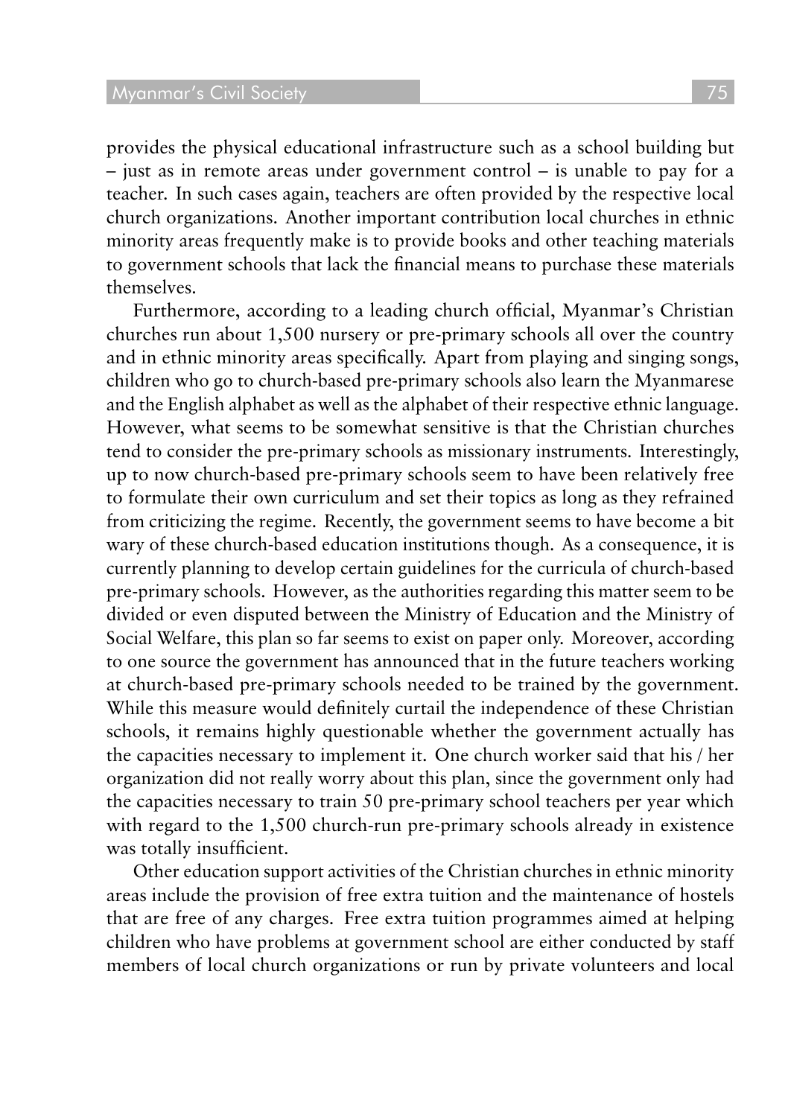#### **Myanmar's Civil Society**

provides the physical educational infrastructure such as a school building but – just as in remote areas under government control – is unable to pay for a teacher. In such cases again, teachers are often provided by the respective local church organizations. Another important contribution local churches in ethnic minority areas frequently make is to provide books and other teaching materials to government schools that lack the financial means to purchase these materials themselves.

Furthermore, according to a leading church official, Myanmar's Christian churches run about 1,500 nursery or pre-primary schools all over the country and in ethnic minority areas specifically. Apart from playing and singing songs, children who go to church-based pre-primary schools also learn the Myanmarese and the English alphabet as well as the alphabet of their respective ethnic language. However, what seems to be somewhat sensitive is that the Christian churches tend to consider the pre-primary schools as missionary instruments. Interestingly, up to now church-based pre-primary schools seem to have been relatively free to formulate their own curriculum and set their topics as long as they refrained from criticizing the regime. Recently, the government seems to have become a bit wary of these church-based education institutions though. As a consequence, it is currently planning to develop certain guidelines for the curricula of church-based pre-primary schools. However, as the authorities regarding this matter seem to be divided or even disputed between the Ministry of Education and the Ministry of Social Welfare, this plan so far seems to exist on paper only. Moreover, according to one source the government has announced that in the future teachers working at church-based pre-primary schools needed to be trained by the government. While this measure would definitely curtail the independence of these Christian schools, it remains highly questionable whether the government actually has the capacities necessary to implement it. One church worker said that his / her organization did not really worry about this plan, since the government only had the capacities necessary to train 50 pre-primary school teachers per year which with regard to the 1,500 church-run pre-primary schools already in existence was totally insufficient.

Other education support activities of the Christian churches in ethnic minority areas include the provision of free extra tuition and the maintenance of hostels that are free of any charges. Free extra tuition programmes aimed at helping children who have problems at government school are either conducted by staff members of local church organizations or run by private volunteers and local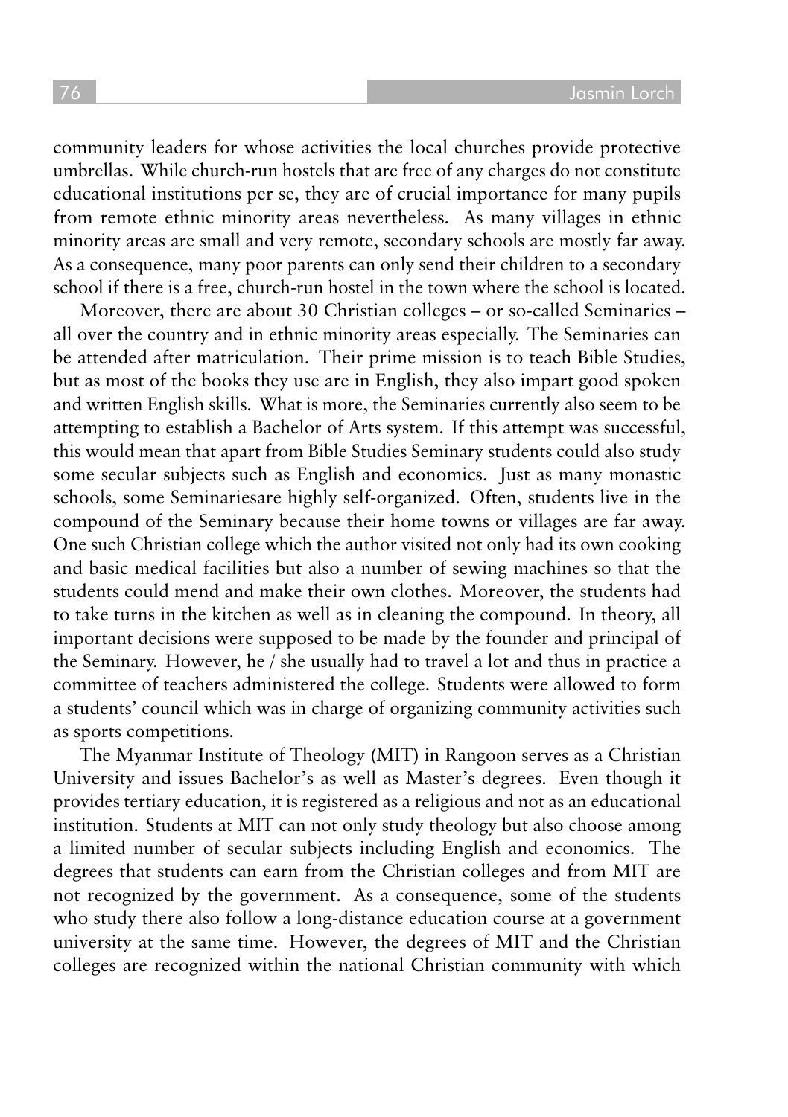community leaders for whose activities the local churches provide protective umbrellas. While church-run hostels that are free of any charges do not constitute educational institutions per se, they are of crucial importance for many pupils from remote ethnic minority areas nevertheless. As many villages in ethnic minority areas are small and very remote, secondary schools are mostly far away. As a consequence, many poor parents can only send their children to a secondary school if there is a free, church-run hostel in the town where the school is located.

Moreover, there are about 30 Christian colleges – or so-called Seminaries – all over the country and in ethnic minority areas especially. The Seminaries can be attended after matriculation. Their prime mission is to teach Bible Studies, but as most of the books they use are in English, they also impart good spoken and written English skills. What is more, the Seminaries currently also seem to be attempting to establish a Bachelor of Arts system. If this attempt was successful, this would mean that apart from Bible Studies Seminary students could also study some secular subjects such as English and economics. Just as many monastic schools, some Seminariesare highly self-organized. Often, students live in the compound of the Seminary because their home towns or villages are far away. One such Christian college which the author visited not only had its own cooking and basic medical facilities but also a number of sewing machines so that the students could mend and make their own clothes. Moreover, the students had to take turns in the kitchen as well as in cleaning the compound. In theory, all important decisions were supposed to be made by the founder and principal of the Seminary. However, he / she usually had to travel a lot and thus in practice a committee of teachers administered the college. Students were allowed to form a students' council which was in charge of organizing community activities such as sports competitions.

The Myanmar Institute of Theology (MIT) in Rangoon serves as a Christian University and issues Bachelor's as well as Master's degrees. Even though it provides tertiary education, it is registered as a religious and not as an educational institution. Students at MIT can not only study theology but also choose among a limited number of secular subjects including English and economics. The degrees that students can earn from the Christian colleges and from MIT are not recognized by the government. As a consequence, some of the students who study there also follow a long-distance education course at a government university at the same time. However, the degrees of MIT and the Christian colleges are recognized within the national Christian community with which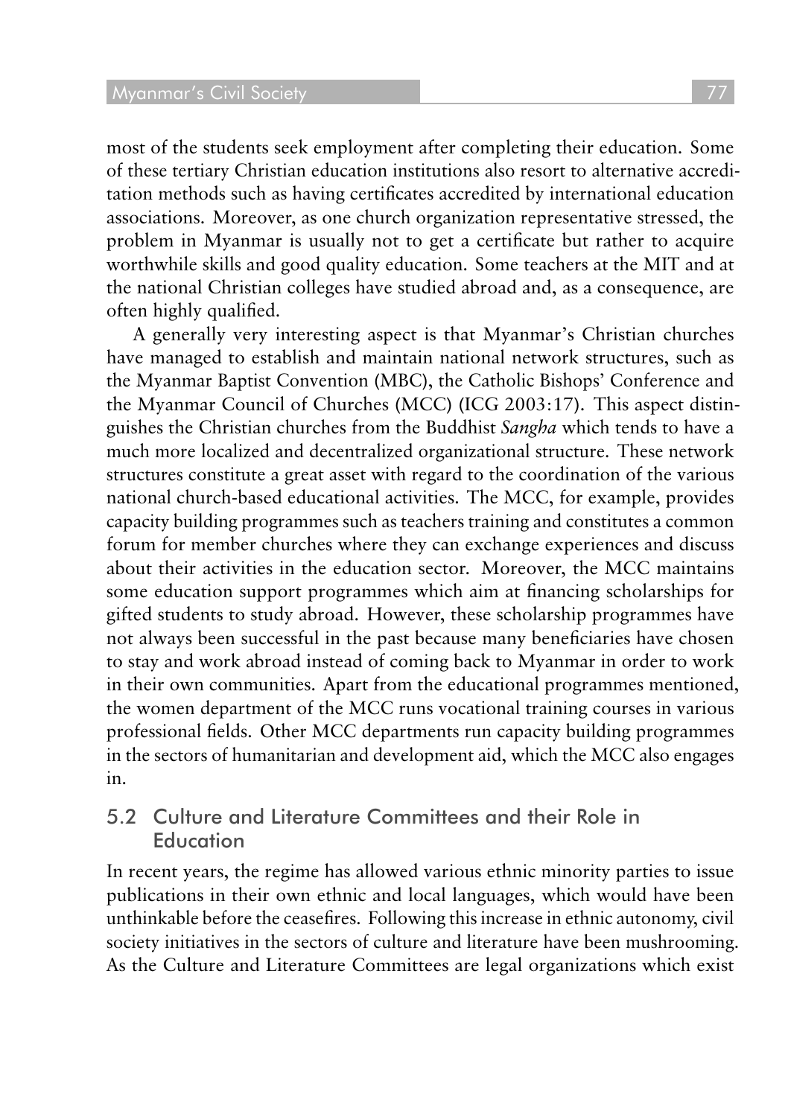most of the students seek employment after completing their education. Some of these tertiary Christian education institutions also resort to alternative accreditation methods such as having certificates accredited by international education associations. Moreover, as one church organization representative stressed, the problem in Myanmar is usually not to get a certificate but rather to acquire worthwhile skills and good quality education. Some teachers at the MIT and at the national Christian colleges have studied abroad and, as a consequence, are often highly qualified.

A generally very interesting aspect is that Myanmar's Christian churches have managed to establish and maintain national network structures, such as the Myanmar Baptist Convention (MBC), the Catholic Bishops' Conference and the Myanmar Council of Churches (MCC) (ICG 2003:17). This aspect distinguishes the Christian churches from the Buddhist *Sangha* which tends to have a much more localized and decentralized organizational structure. These network structures constitute a great asset with regard to the coordination of the various national church-based educational activities. The MCC, for example, provides capacity building programmes such as teachers training and constitutes a common forum for member churches where they can exchange experiences and discuss about their activities in the education sector. Moreover, the MCC maintains some education support programmes which aim at financing scholarships for gifted students to study abroad. However, these scholarship programmes have not always been successful in the past because many beneficiaries have chosen to stay and work abroad instead of coming back to Myanmar in order to work in their own communities. Apart from the educational programmes mentioned, the women department of the MCC runs vocational training courses in various professional fields. Other MCC departments run capacity building programmes in the sectors of humanitarian and development aid, which the MCC also engages in.

#### 5.2 Culture and Literature Committees and their Role in Education

In recent years, the regime has allowed various ethnic minority parties to issue publications in their own ethnic and local languages, which would have been unthinkable before the ceasefires. Following this increase in ethnic autonomy, civil society initiatives in the sectors of culture and literature have been mushrooming. As the Culture and Literature Committees are legal organizations which exist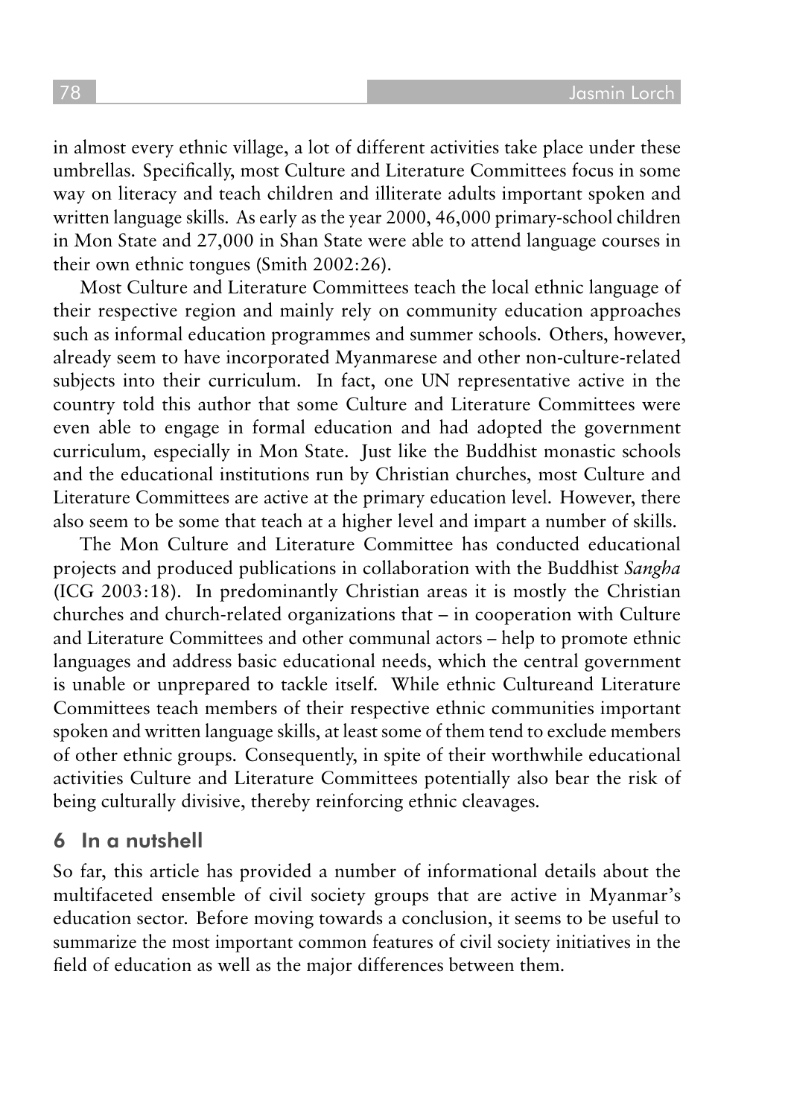in almost every ethnic village, a lot of different activities take place under these umbrellas. Specifically, most Culture and Literature Committees focus in some way on literacy and teach children and illiterate adults important spoken and written language skills. As early as the year 2000, 46,000 primary-school children in Mon State and 27,000 in Shan State were able to attend language courses in their own ethnic tongues (Smith 2002:26).

Most Culture and Literature Committees teach the local ethnic language of their respective region and mainly rely on community education approaches such as informal education programmes and summer schools. Others, however, already seem to have incorporated Myanmarese and other non-culture-related subjects into their curriculum. In fact, one UN representative active in the country told this author that some Culture and Literature Committees were even able to engage in formal education and had adopted the government curriculum, especially in Mon State. Just like the Buddhist monastic schools and the educational institutions run by Christian churches, most Culture and Literature Committees are active at the primary education level. However, there also seem to be some that teach at a higher level and impart a number of skills.

The Mon Culture and Literature Committee has conducted educational projects and produced publications in collaboration with the Buddhist *Sangha* (ICG 2003:18). In predominantly Christian areas it is mostly the Christian churches and church-related organizations that – in cooperation with Culture and Literature Committees and other communal actors – help to promote ethnic languages and address basic educational needs, which the central government is unable or unprepared to tackle itself. While ethnic Cultureand Literature Committees teach members of their respective ethnic communities important spoken and written language skills, at least some of them tend to exclude members of other ethnic groups. Consequently, in spite of their worthwhile educational activities Culture and Literature Committees potentially also bear the risk of being culturally divisive, thereby reinforcing ethnic cleavages.

#### 6 In a nutshell

So far, this article has provided a number of informational details about the multifaceted ensemble of civil society groups that are active in Myanmar's education sector. Before moving towards a conclusion, it seems to be useful to summarize the most important common features of civil society initiatives in the field of education as well as the major differences between them.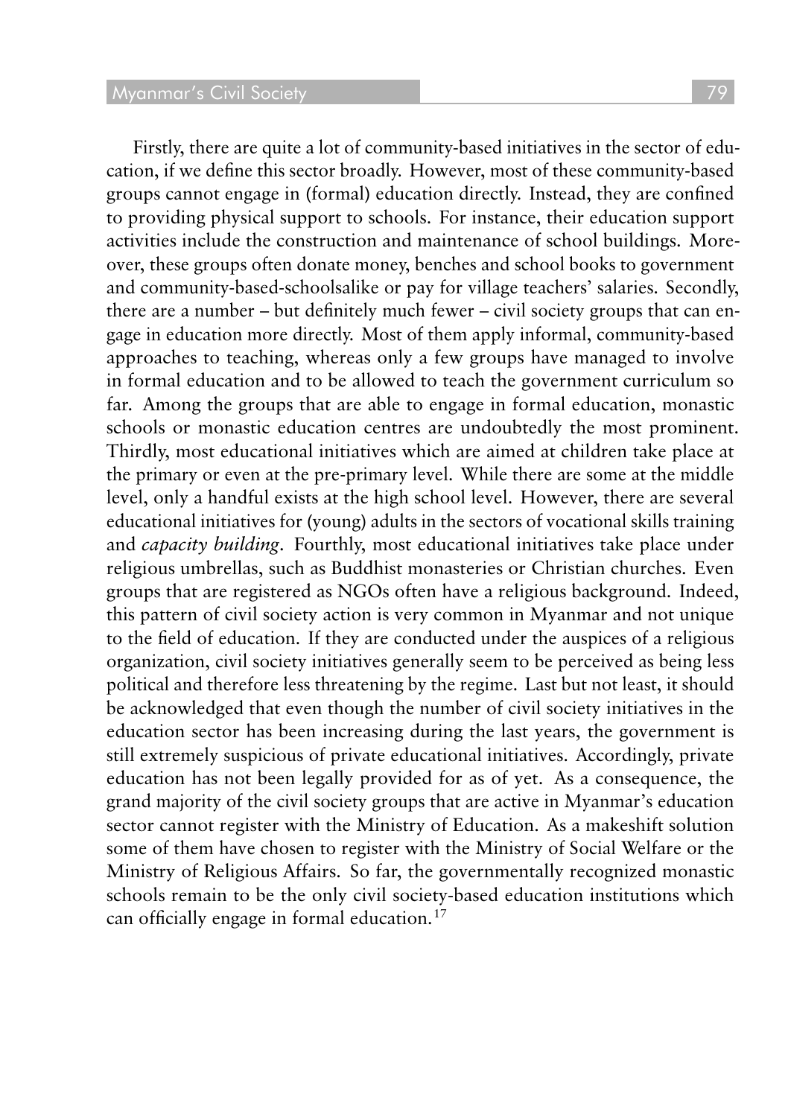Firstly, there are quite a lot of community-based initiatives in the sector of education, if we define this sector broadly. However, most of these community-based groups cannot engage in (formal) education directly. Instead, they are confined to providing physical support to schools. For instance, their education support activities include the construction and maintenance of school buildings. Moreover, these groups often donate money, benches and school books to government and community-based-schoolsalike or pay for village teachers' salaries. Secondly, there are a number – but definitely much fewer – civil society groups that can engage in education more directly. Most of them apply informal, community-based approaches to teaching, whereas only a few groups have managed to involve in formal education and to be allowed to teach the government curriculum so far. Among the groups that are able to engage in formal education, monastic schools or monastic education centres are undoubtedly the most prominent. Thirdly, most educational initiatives which are aimed at children take place at the primary or even at the pre-primary level. While there are some at the middle level, only a handful exists at the high school level. However, there are several educational initiatives for (young) adults in the sectors of vocational skills training and *capacity building*. Fourthly, most educational initiatives take place under religious umbrellas, such as Buddhist monasteries or Christian churches. Even groups that are registered as NGOs often have a religious background. Indeed, this pattern of civil society action is very common in Myanmar and not unique to the field of education. If they are conducted under the auspices of a religious organization, civil society initiatives generally seem to be perceived as being less political and therefore less threatening by the regime. Last but not least, it should be acknowledged that even though the number of civil society initiatives in the education sector has been increasing during the last years, the government is still extremely suspicious of private educational initiatives. Accordingly, private education has not been legally provided for as of yet. As a consequence, the grand majority of the civil society groups that are active in Myanmar's education sector cannot register with the Ministry of Education. As a makeshift solution some of them have chosen to register with the Ministry of Social Welfare or the Ministry of Religious Affairs. So far, the governmentally recognized monastic schools remain to be the only civil society-based education institutions which

can officially engage in formal education.<sup>17</sup>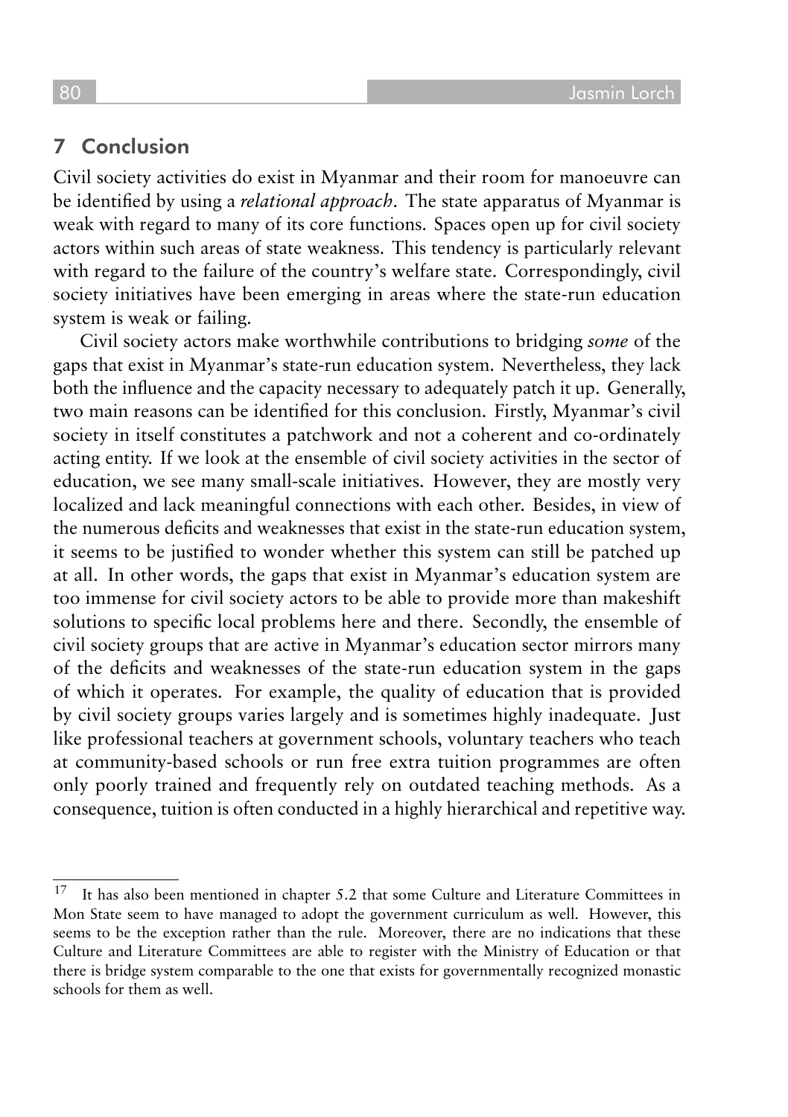### 7 Conclusion

Civil society activities do exist in Myanmar and their room for manoeuvre can be identified by using a *relational approach*. The state apparatus of Myanmar is weak with regard to many of its core functions. Spaces open up for civil society actors within such areas of state weakness. This tendency is particularly relevant with regard to the failure of the country's welfare state. Correspondingly, civil society initiatives have been emerging in areas where the state-run education system is weak or failing.

Civil society actors make worthwhile contributions to bridging *some* of the gaps that exist in Myanmar's state-run education system. Nevertheless, they lack both the influence and the capacity necessary to adequately patch it up. Generally, two main reasons can be identified for this conclusion. Firstly, Myanmar's civil society in itself constitutes a patchwork and not a coherent and co-ordinately acting entity. If we look at the ensemble of civil society activities in the sector of education, we see many small-scale initiatives. However, they are mostly very localized and lack meaningful connections with each other. Besides, in view of the numerous deficits and weaknesses that exist in the state-run education system, it seems to be justified to wonder whether this system can still be patched up at all. In other words, the gaps that exist in Myanmar's education system are too immense for civil society actors to be able to provide more than makeshift solutions to specific local problems here and there. Secondly, the ensemble of civil society groups that are active in Myanmar's education sector mirrors many of the deficits and weaknesses of the state-run education system in the gaps of which it operates. For example, the quality of education that is provided by civil society groups varies largely and is sometimes highly inadequate. Just like professional teachers at government schools, voluntary teachers who teach at community-based schools or run free extra tuition programmes are often only poorly trained and frequently rely on outdated teaching methods. As a consequence, tuition is often conducted in a highly hierarchical and repetitive way.

 $17$  It has also been mentioned in chapter 5.2 that some Culture and Literature Committees in Mon State seem to have managed to adopt the government curriculum as well. However, this seems to be the exception rather than the rule. Moreover, there are no indications that these Culture and Literature Committees are able to register with the Ministry of Education or that there is bridge system comparable to the one that exists for governmentally recognized monastic schools for them as well.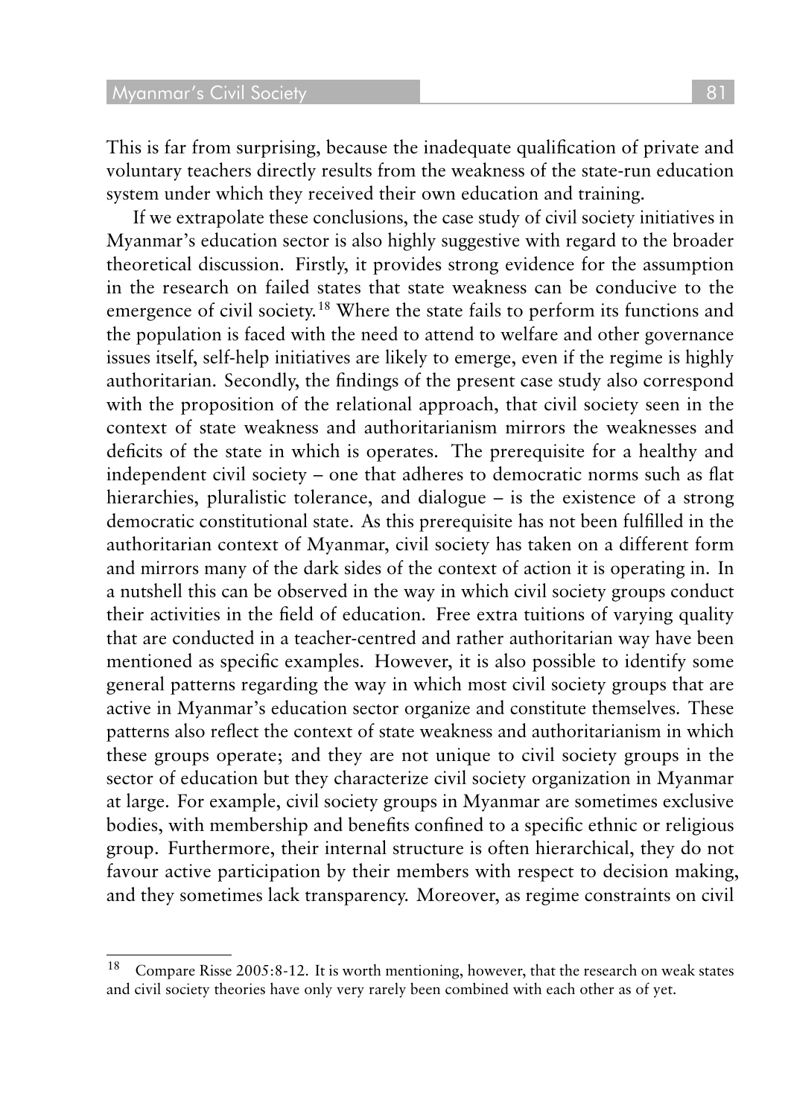This is far from surprising, because the inadequate qualification of private and voluntary teachers directly results from the weakness of the state-run education system under which they received their own education and training.

If we extrapolate these conclusions, the case study of civil society initiatives in Myanmar's education sector is also highly suggestive with regard to the broader theoretical discussion. Firstly, it provides strong evidence for the assumption in the research on failed states that state weakness can be conducive to the emergence of civil society.<sup>18</sup> Where the state fails to perform its functions and the population is faced with the need to attend to welfare and other governance issues itself, self-help initiatives are likely to emerge, even if the regime is highly authoritarian. Secondly, the findings of the present case study also correspond with the proposition of the relational approach, that civil society seen in the context of state weakness and authoritarianism mirrors the weaknesses and deficits of the state in which is operates. The prerequisite for a healthy and independent civil society – one that adheres to democratic norms such as flat hierarchies, pluralistic tolerance, and dialogue – is the existence of a strong democratic constitutional state. As this prerequisite has not been fulfilled in the authoritarian context of Myanmar, civil society has taken on a different form and mirrors many of the dark sides of the context of action it is operating in. In a nutshell this can be observed in the way in which civil society groups conduct their activities in the field of education. Free extra tuitions of varying quality that are conducted in a teacher-centred and rather authoritarian way have been mentioned as specific examples. However, it is also possible to identify some general patterns regarding the way in which most civil society groups that are active in Myanmar's education sector organize and constitute themselves. These patterns also reflect the context of state weakness and authoritarianism in which these groups operate; and they are not unique to civil society groups in the sector of education but they characterize civil society organization in Myanmar at large. For example, civil society groups in Myanmar are sometimes exclusive bodies, with membership and benefits confined to a specific ethnic or religious group. Furthermore, their internal structure is often hierarchical, they do not favour active participation by their members with respect to decision making, and they sometimes lack transparency. Moreover, as regime constraints on civil

<sup>&</sup>lt;sup>18</sup> Compare Risse 2005:8-12. It is worth mentioning, however, that the research on weak states and civil society theories have only very rarely been combined with each other as of yet.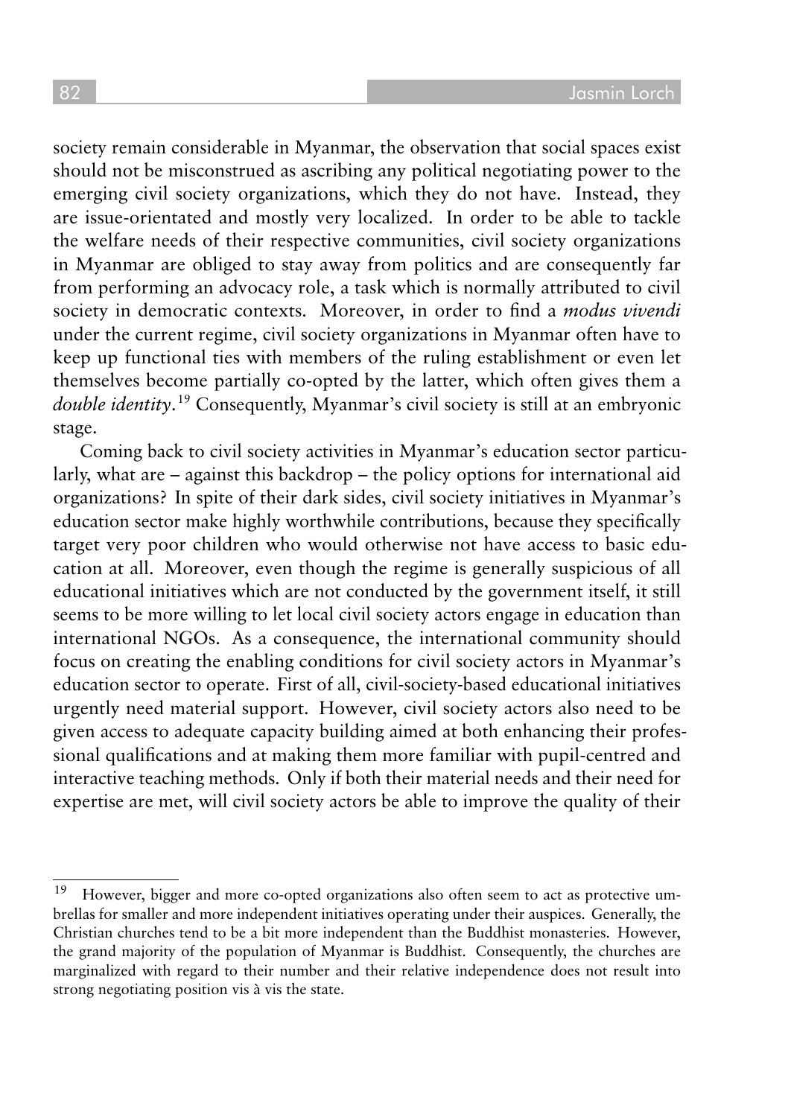society remain considerable in Myanmar, the observation that social spaces exist should not be misconstrued as ascribing any political negotiating power to the emerging civil society organizations, which they do not have. Instead, they are issue-orientated and mostly very localized. In order to be able to tackle the welfare needs of their respective communities, civil society organizations in Myanmar are obliged to stay away from politics and are consequently far from performing an advocacy role, a task which is normally attributed to civil society in democratic contexts. Moreover, in order to find a *modus vivendi* under the current regime, civil society organizations in Myanmar often have to keep up functional ties with members of the ruling establishment or even let themselves become partially co-opted by the latter, which often gives them a *double identity*. <sup>19</sup> Consequently, Myanmar's civil society is still at an embryonic stage.

Coming back to civil society activities in Myanmar's education sector particularly, what are – against this backdrop – the policy options for international aid organizations? In spite of their dark sides, civil society initiatives in Myanmar's education sector make highly worthwhile contributions, because they specifically target very poor children who would otherwise not have access to basic education at all. Moreover, even though the regime is generally suspicious of all educational initiatives which are not conducted by the government itself, it still seems to be more willing to let local civil society actors engage in education than international NGOs. As a consequence, the international community should focus on creating the enabling conditions for civil society actors in Myanmar's education sector to operate. First of all, civil-society-based educational initiatives urgently need material support. However, civil society actors also need to be given access to adequate capacity building aimed at both enhancing their professional qualifications and at making them more familiar with pupil-centred and interactive teaching methods. Only if both their material needs and their need for expertise are met, will civil society actors be able to improve the quality of their

<sup>19</sup> However, bigger and more co-opted organizations also often seem to act as protective umbrellas for smaller and more independent initiatives operating under their auspices. Generally, the Christian churches tend to be a bit more independent than the Buddhist monasteries. However, the grand majority of the population of Myanmar is Buddhist. Consequently, the churches are marginalized with regard to their number and their relative independence does not result into strong negotiating position vis à vis the state.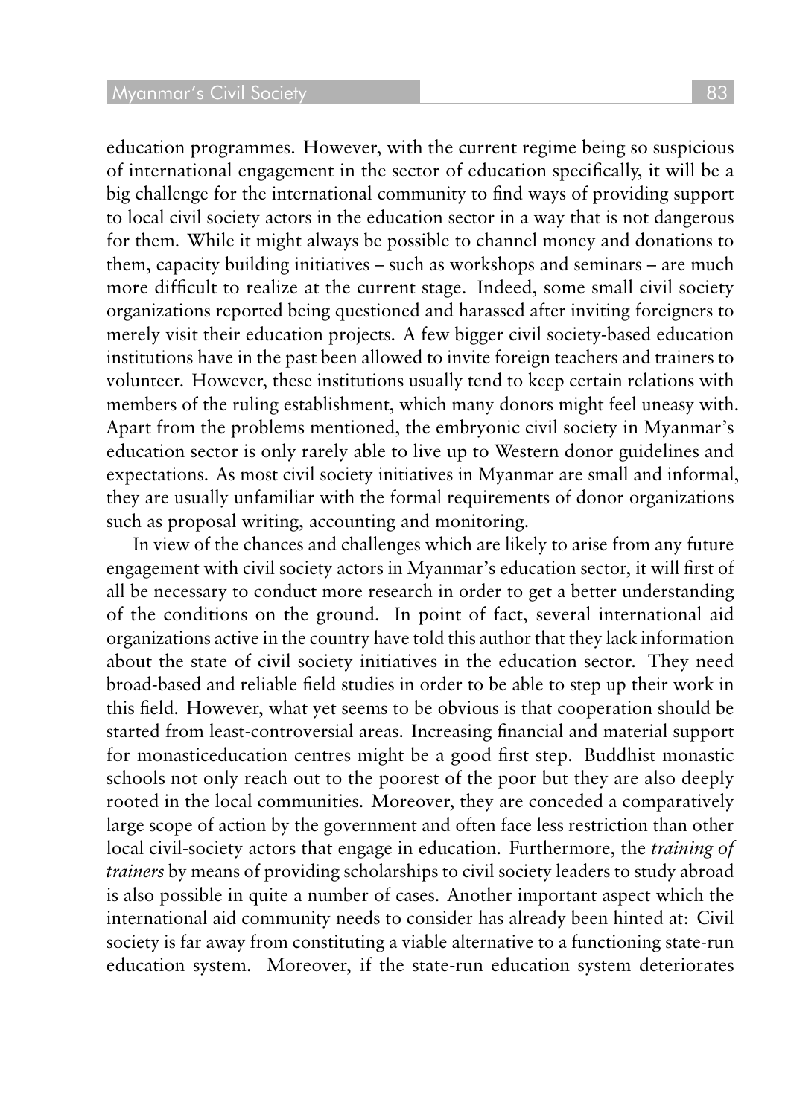education programmes. However, with the current regime being so suspicious of international engagement in the sector of education specifically, it will be a big challenge for the international community to find ways of providing support to local civil society actors in the education sector in a way that is not dangerous for them. While it might always be possible to channel money and donations to them, capacity building initiatives – such as workshops and seminars – are much more difficult to realize at the current stage. Indeed, some small civil society organizations reported being questioned and harassed after inviting foreigners to merely visit their education projects. A few bigger civil society-based education institutions have in the past been allowed to invite foreign teachers and trainers to volunteer. However, these institutions usually tend to keep certain relations with members of the ruling establishment, which many donors might feel uneasy with. Apart from the problems mentioned, the embryonic civil society in Myanmar's education sector is only rarely able to live up to Western donor guidelines and expectations. As most civil society initiatives in Myanmar are small and informal, they are usually unfamiliar with the formal requirements of donor organizations such as proposal writing, accounting and monitoring.

In view of the chances and challenges which are likely to arise from any future engagement with civil society actors in Myanmar's education sector, it will first of all be necessary to conduct more research in order to get a better understanding of the conditions on the ground. In point of fact, several international aid organizations active in the country have told this author that they lack information about the state of civil society initiatives in the education sector. They need broad-based and reliable field studies in order to be able to step up their work in this field. However, what yet seems to be obvious is that cooperation should be started from least-controversial areas. Increasing financial and material support for monasticeducation centres might be a good first step. Buddhist monastic schools not only reach out to the poorest of the poor but they are also deeply rooted in the local communities. Moreover, they are conceded a comparatively large scope of action by the government and often face less restriction than other local civil-society actors that engage in education. Furthermore, the *training of trainers* by means of providing scholarships to civil society leaders to study abroad is also possible in quite a number of cases. Another important aspect which the international aid community needs to consider has already been hinted at: Civil society is far away from constituting a viable alternative to a functioning state-run education system. Moreover, if the state-run education system deteriorates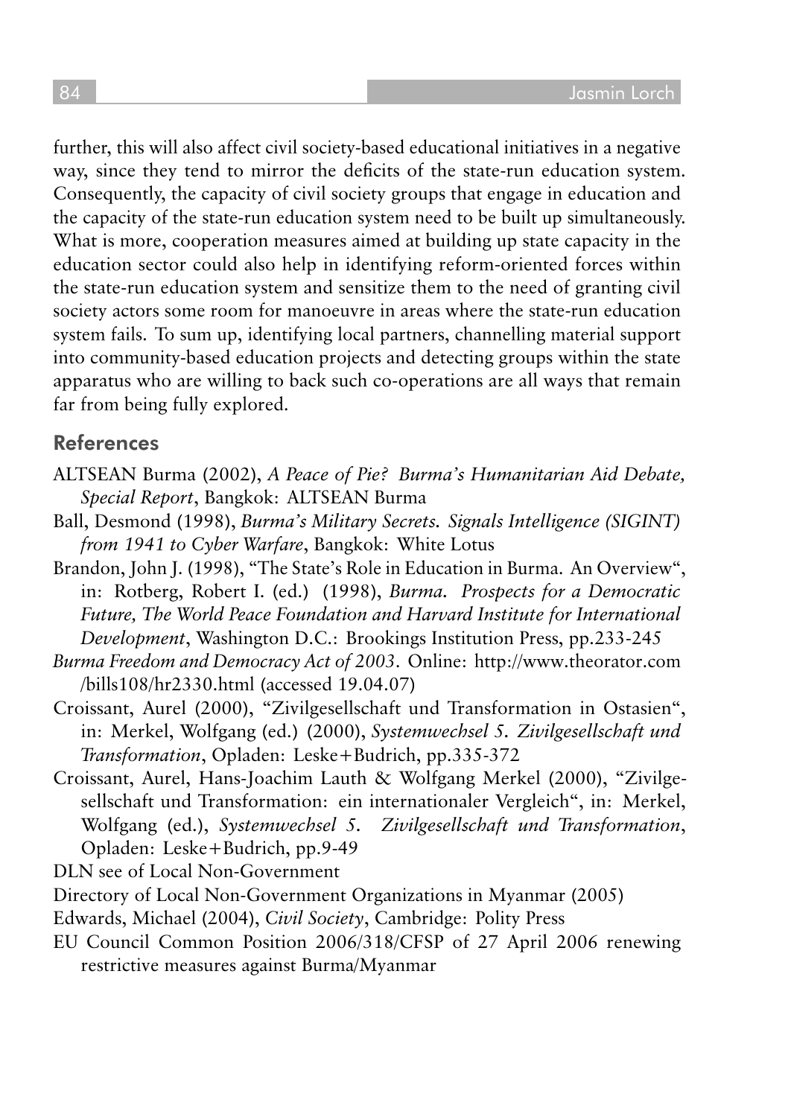further, this will also affect civil society-based educational initiatives in a negative way, since they tend to mirror the deficits of the state-run education system. Consequently, the capacity of civil society groups that engage in education and the capacity of the state-run education system need to be built up simultaneously. What is more, cooperation measures aimed at building up state capacity in the education sector could also help in identifying reform-oriented forces within the state-run education system and sensitize them to the need of granting civil society actors some room for manoeuvre in areas where the state-run education system fails. To sum up, identifying local partners, channelling material support into community-based education projects and detecting groups within the state apparatus who are willing to back such co-operations are all ways that remain far from being fully explored.

#### References

- ALTSEAN Burma (2002), A Peace of Pie? Burma's Humanitarian Aid Debate, *Special Report*, Bangkok: ALTSEAN Burma
- Ball, Desmond (1998), Burma's Military Secrets. Signals Intelligence (SIGINT) *from 1941 to Cyber Warfare*, Bangkok: White Lotus
- Brandon, John J. (1998), "The State's Role in Education in Burma. An Overview", in: Rotberg, Robert I. (ed.) (1998), *Burma. Prospects for a Democratic Future, The World Peace Foundation and Harvard Institute for International Development*, Washington D.C.: Brookings Institution Press, pp.233-245
- *Burma Freedom and Democracy Act of 2003*. Online: http://www.theorator.com /bills108/hr2330.html (accessed 19.04.07)
- Croissant, Aurel (2000), "Zivilgesellschaft und Transformation in Ostasien", in: Merkel, Wolfgang (ed.) (2000), *Systemwechsel 5. Zivilgesellschaft und Transformation*, Opladen: Leske+Budrich, pp.335-372
- Croissant, Aurel, Hans-Joachim Lauth & Wolfgang Merkel (2000), "Zivilgesellschaft und Transformation: ein internationaler Vergleich", in: Merkel, Wolfgang (ed.), *Systemwechsel 5. Zivilgesellschaft und Transformation*, Opladen: Leske+Budrich, pp.9-49

DLN see of Local Non-Government

- Directory of Local Non-Government Organizations in Myanmar (2005)
- Edwards, Michael (2004), *Civil Society*, Cambridge: Polity Press
- EU Council Common Position 2006/318/CFSP of 27 April 2006 renewing restrictive measures against Burma/Myanmar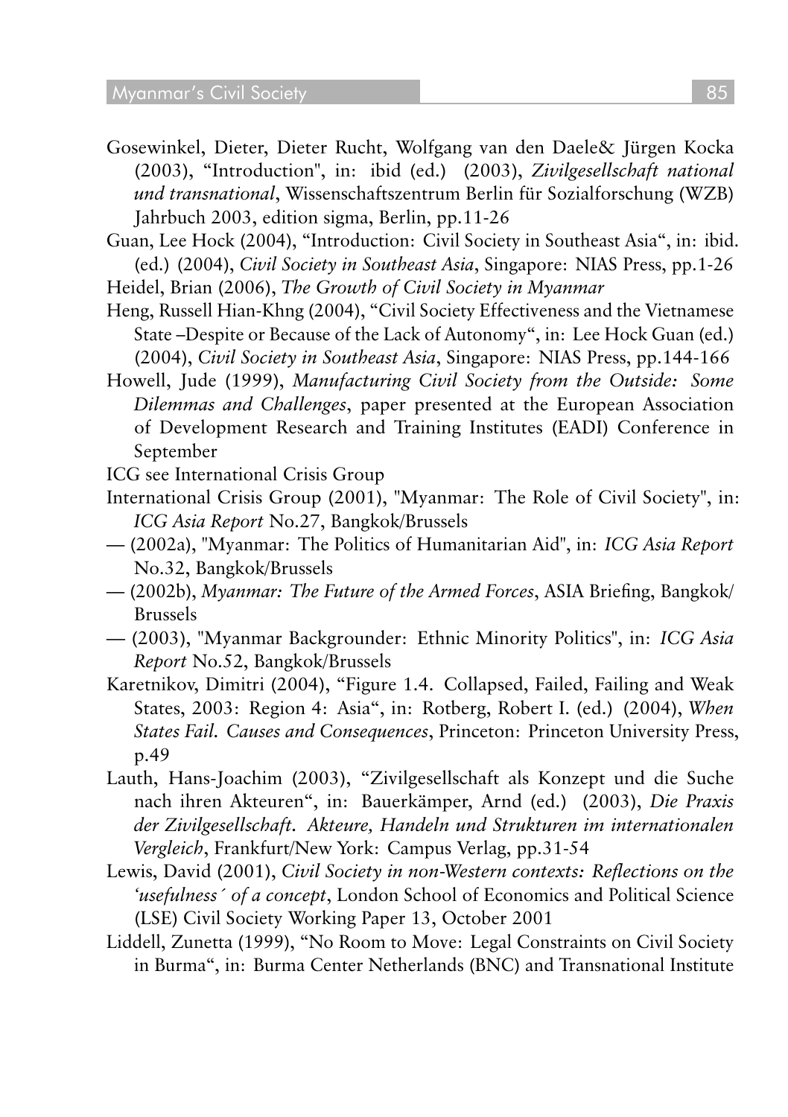- Gosewinkel, Dieter, Dieter Rucht, Wolfgang van den Daele& Jürgen Kocka (2003), "Introduction", in: ibid (ed.) (2003), *Zivilgesellschaft national und transnational*, Wissenschaftszentrum Berlin für Sozialforschung (WZB) Jahrbuch 2003, edition sigma, Berlin, pp.11-26
- Guan, Lee Hock (2004), "Introduction: Civil Society in Southeast Asia", in: ibid. (ed.) (2004), *Civil Society in Southeast Asia*, Singapore: NIAS Press, pp.1-26
- Heidel, Brian (2006), *The Growth of Civil Society in Myanmar*
- Heng, Russell Hian-Khng (2004), "Civil Society Effectiveness and the Vietnamese State –Despite or Because of the Lack of Autonomy", in: Lee Hock Guan (ed.) (2004), *Civil Society in Southeast Asia*, Singapore: NIAS Press, pp.144-166
- Howell, Jude (1999), Manufacturing Civil Society from the Outside: Some *Dilemmas and Challenges*, paper presented at the European Association of Development Research and Training Institutes (EADI) Conference in September
- ICG see International Crisis Group
- International Crisis Group (2001), "Myanmar: The Role of Civil Society", in: *ICG Asia Report* No.27, Bangkok/Brussels
- (2002a), "Myanmar: The Politics of Humanitarian Aid", in: *ICG Asia Report* No.32, Bangkok/Brussels
- (2002b), *Myanmar: The Future of the Armed Forces*, ASIA Briefing, Bangkok/ Brussels
- (2003), "Myanmar Backgrounder: Ethnic Minority Politics", in: *ICG Asia Report* No.52, Bangkok/Brussels
- Karetnikov, Dimitri (2004), "Figure 1.4. Collapsed, Failed, Failing and Weak States, 2003: Region 4: Asia", in: Rotberg, Robert I. (ed.) (2004), *When States Fail. Causes and Consequences*, Princeton: Princeton University Press, p.49
- Lauth, Hans-Joachim (2003), "Zivilgesellschaft als Konzept und die Suche nach ihren Akteuren", in: Bauerkämper, Arnd (ed.) (2003), *Die Praxis* der Zivilgesellschaft. Akteure, Handeln und Strukturen im internationalen *Vergleich*, Frankfurt/New York: Campus Verlag, pp.31-54
- Lewis, David (2001), Civil Society in non-Western contexts: Reflections on the *'usefulness´ of a concept*, London School of Economics and Political Science (LSE) Civil Society Working Paper 13, October 2001
- Liddell, Zunetta (1999), "No Room to Move: Legal Constraints on Civil Society in Burma", in: Burma Center Netherlands (BNC) and Transnational Institute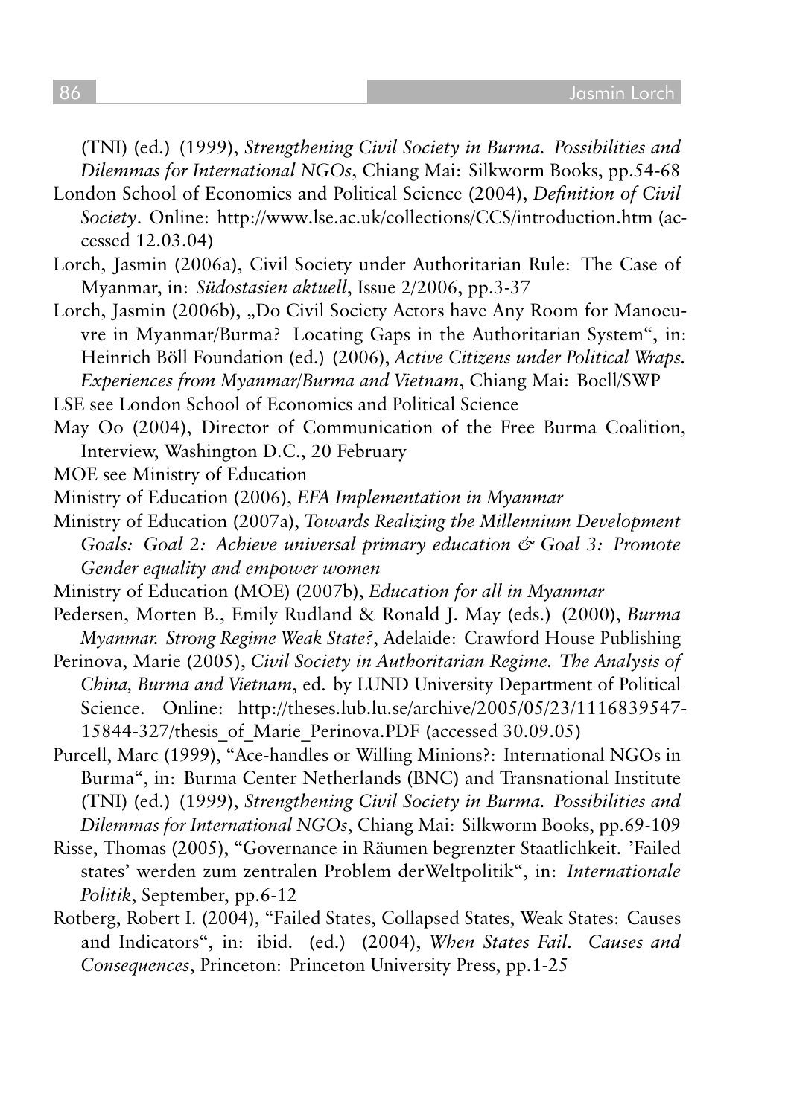(TNI) (ed.) (1999), *Strengthening Civil Society in Burma. Possibilities and Dilemmas for International NGOs*, Chiang Mai: Silkworm Books, pp.54-68

- London School of Economics and Political Science (2004), *Definition of Civil Society*. Online: http://www.lse.ac.uk/collections/CCS/introduction.htm (accessed 12.03.04)
- Lorch, Jasmin (2006a), Civil Society under Authoritarian Rule: The Case of Myanmar, in: *Südostasien aktuell*, Issue 2/2006, pp.3-37
- Lorch, Jasmin (2006b), "Do Civil Society Actors have Any Room for Manoeuvre in Myanmar/Burma? Locating Gaps in the Authoritarian System", in: Heinrich Böll Foundation (ed.) (2006), *Active Citizens under Political Wraps. Experiences from Myanmar/Burma and Vietnam*, Chiang Mai: Boell/SWP
- LSE see London School of Economics and Political Science
- May Oo (2004), Director of Communication of the Free Burma Coalition, Interview, Washington D.C., 20 February
- MOE see Ministry of Education
- Ministry of Education (2006), *EFA Implementation in Myanmar*
- Ministry of Education (2007a), *Towards Realizing the Millennium Development* Goals: Goal 2: Achieve universal primary education & Goal 3: Promote *Gender equality and empower women*
- Ministry of Education (MOE) (2007b), *Education for all in Myanmar*
- Pedersen, Morten B., Emily Rudland & Ronald J. May (eds.) (2000), *Burma Myanmar. Strong Regime Weak State?*, Adelaide: Crawford House Publishing
- Perinova, Marie (2005), Civil Society in Authoritarian Regime. The Analysis of *China, Burma and Vietnam*, ed. by LUND University Department of Political Science. Online: http://theses.lub.lu.se/archive/2005/05/23/1116839547- 15844-327/thesis\_of\_Marie\_Perinova.PDF (accessed 30.09.05)
- Purcell, Marc (1999), "Ace-handles or Willing Minions?: International NGOs in Burma", in: Burma Center Netherlands (BNC) and Transnational Institute (TNI) (ed.) (1999), *Strengthening Civil Society in Burma. Possibilities and Dilemmas for International NGOs*, Chiang Mai: Silkworm Books, pp.69-109
- Risse, Thomas (2005), "Governance in Räumen begrenzter Staatlichkeit. 'Failed states' werden zum zentralen Problem derWeltpolitik", in: *Internationale Politik*, September, pp.6-12
- Rotberg, Robert I. (2004), "Failed States, Collapsed States, Weak States: Causes and Indicators", in: ibid. (ed.) (2004), *When States Fail. Causes and Consequences*, Princeton: Princeton University Press, pp.1-25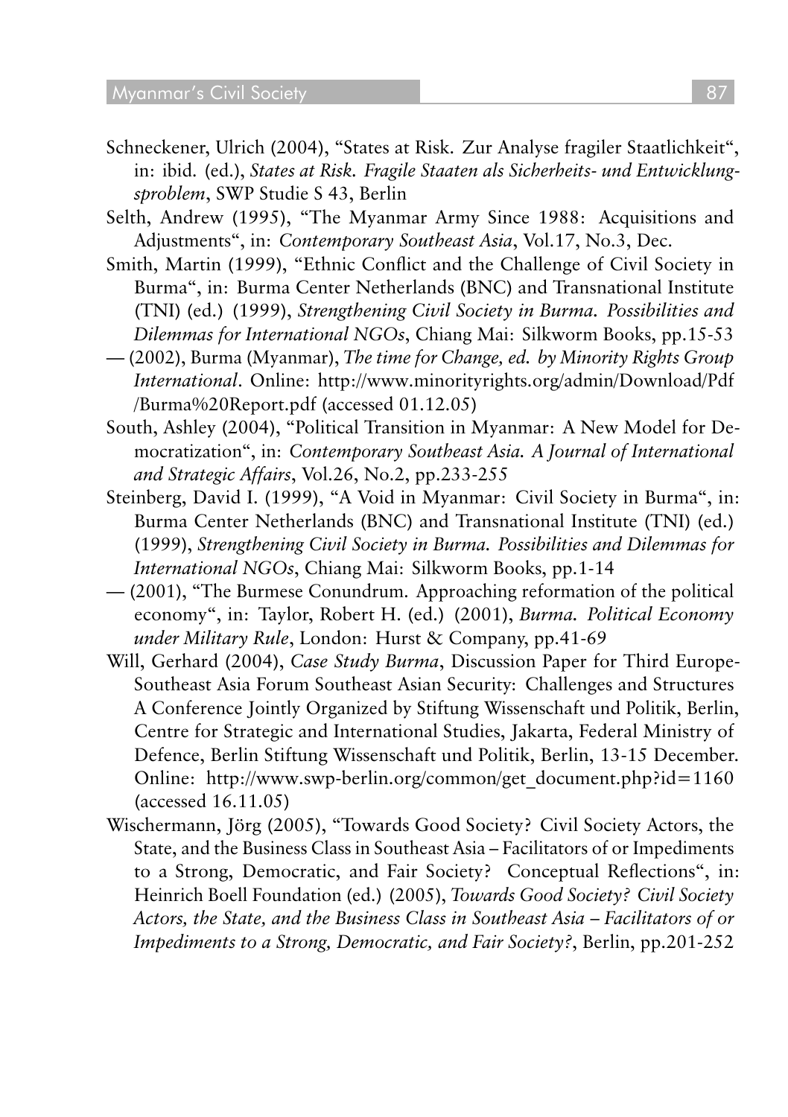- Schneckener, Ulrich (2004), "States at Risk. Zur Analyse fragiler Staatlichkeit", in: ibid. (ed.), States at Risk. Fragile Staaten als Sicherheits- und Entwicklung*sproblem*, SWP Studie S 43, Berlin
- Selth, Andrew (1995), "The Myanmar Army Since 1988: Acquisitions and Adjustments", in: *Contemporary Southeast Asia*, Vol.17, No.3, Dec.
- Smith, Martin (1999), "Ethnic Conflict and the Challenge of Civil Society in Burma", in: Burma Center Netherlands (BNC) and Transnational Institute (TNI) (ed.) (1999), *Strengthening Civil Society in Burma. Possibilities and Dilemmas for International NGOs*, Chiang Mai: Silkworm Books, pp.15-53
- (2002), Burma (Myanmar), The time for Change, ed. by Minority Rights Group *International*. Online: http://www.minorityrights.org/admin/Download/Pdf /Burma%20Report.pdf (accessed 01.12.05)
- South, Ashley (2004), "Political Transition in Myanmar: A New Model for Democratization", in: Contemporary Southeast Asia. A Journal of International *and Strategic Affairs*, Vol.26, No.2, pp.233-255
- Steinberg, David I. (1999), "A Void in Myanmar: Civil Society in Burma", in: Burma Center Netherlands (BNC) and Transnational Institute (TNI) (ed.) (1999), *Strengthening Civil Society in Burma. Possibilities and Dilemmas for International NGOs*, Chiang Mai: Silkworm Books, pp.1-14
- (2001), "The Burmese Conundrum. Approaching reformation of the political economy", in: Taylor, Robert H. (ed.) (2001), *Burma. Political Economy under Military Rule*, London: Hurst & Company, pp.41-69
- Will, Gerhard (2004), *Case Study Burma*, Discussion Paper for Third Europe-Southeast Asia Forum Southeast Asian Security: Challenges and Structures A Conference Jointly Organized by Stiftung Wissenschaft und Politik, Berlin, Centre for Strategic and International Studies, Jakarta, Federal Ministry of Defence, Berlin Stiftung Wissenschaft und Politik, Berlin, 13-15 December. Online: http://www.swp-berlin.org/common/get\_document.php?id=1160 (accessed 16.11.05)
- Wischermann, Jörg (2005), "Towards Good Society? Civil Society Actors, the State, and the Business Class in Southeast Asia – Facilitators of or Impediments to a Strong, Democratic, and Fair Society? Conceptual Reflections", in: Heinrich Boell Foundation (ed.) (2005), *Towards Good Society? Civil Society Actors, the State, and the Business Class in Southeast Asia – Facilitators of or Impediments to a Strong, Democratic, and Fair Society?*, Berlin, pp.201-252